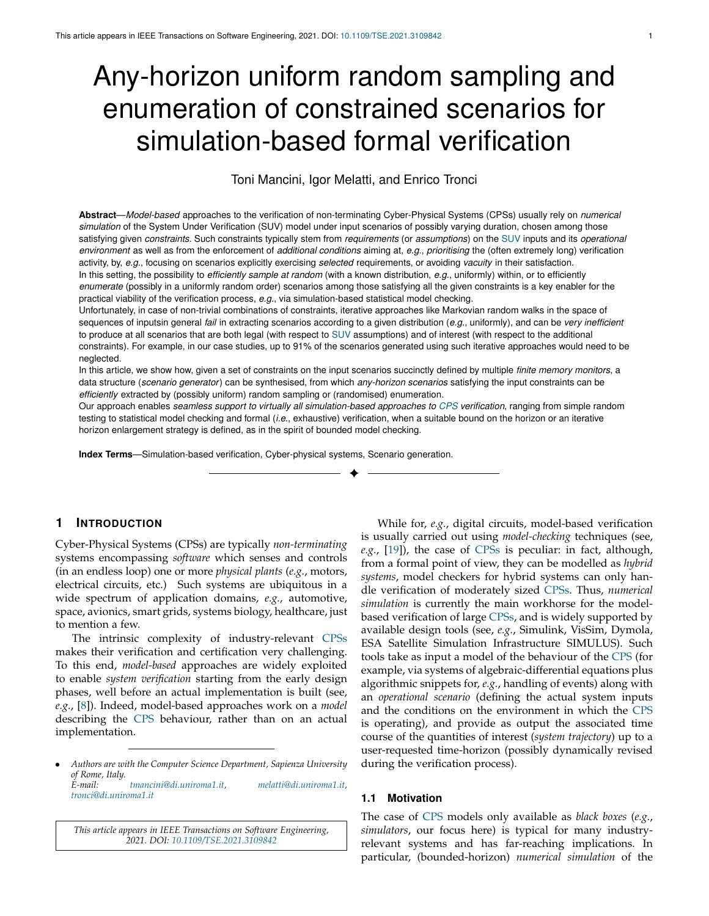# Any-horizon uniform random sampling and enumeration of constrained scenarios for simulation-based formal verification

<span id="page-0-1"></span>Toni Mancini, Igor Melatti, and Enrico Tronci

<span id="page-0-0"></span>**Abstract**—*Model-based* approaches to the verification of non-terminating Cyber-Physical Systems (CPSs) usually rely on *numerical simulation* of the System Under Verification (SUV) model under input scenarios of possibly varying duration, chosen among those satisfying given *constraints*. Such constraints typically stem from *requirements* (or *assumptions*) on the [SUV](#page-0-0) inputs and its *operational environment* as well as from the enforcement of *additional conditions* aiming at, *e.g.*, *prioritising* the (often extremely long) verification activity, by, *e.g.*, focusing on scenarios explicitly exercising *selected* requirements, or avoiding *vacuity* in their satisfaction. In this setting, the possibility to *efficiently sample at random* (with a known distribution, *e.g.*, uniformly) within, or to efficiently *enumerate* (possibly in a uniformly random order) scenarios among those satisfying all the given constraints is a key enabler for the practical viability of the verification process, *e.g.*, via simulation-based statistical model checking.

Unfortunately, in case of non-trivial combinations of constraints, iterative approaches like Markovian random walks in the space of sequences of inputsin general *fail* in extracting scenarios according to a given distribution (*e.g.*, uniformly), and can be *very inefficient* to produce at all scenarios that are both legal (with respect to [SUV](#page-0-0) assumptions) and of interest (with respect to the additional constraints). For example, in our case studies, up to 91% of the scenarios generated using such iterative approaches would need to be neglected.

In this article, we show how, given a set of constraints on the input scenarios succinctly defined by multiple *finite memory monitors*, a data structure (*scenario generator*) can be synthesised, from which *any-horizon scenarios* satisfying the input constraints can be *efficiently* extracted by (possibly uniform) random sampling or (randomised) enumeration.

Our approach enables *seamless support to virtually all simulation-based approaches to [CPS](#page-0-1) verification*, ranging from simple random testing to statistical model checking and formal (*i.e.*, exhaustive) verification, when a suitable bound on the horizon or an iterative horizon enlargement strategy is defined, as in the spirit of bounded model checking.

✦

**Index Terms**—Simulation-based verification, Cyber-physical systems, Scenario generation.

## **1 INTRODUCTION**

<span id="page-0-2"></span>Cyber-Physical Systems (CPSs) are typically *non-terminating* systems encompassing *software* which senses and controls (in an endless loop) one or more *physical plants* (*e.g.*, motors, electrical circuits, etc.) Such systems are ubiquitous in a wide spectrum of application domains, *e.g.*, automotive, space, avionics, smart grids, systems biology, healthcare, just to mention a few.

The intrinsic complexity of industry-relevant [CPSs](#page-0-2) makes their verification and certification very challenging. To this end, *model-based* approaches are widely exploited to enable *system verification* starting from the early design phases, well before an actual implementation is built (see, *e.g.*, [\[8\]](#page-10-0)). Indeed, model-based approaches work on a *model* describing the [CPS](#page-0-2) behaviour, rather than on an actual implementation.

*This article appears in IEEE Transactions on Software Engineering, 2021. DOI: [10.1109/TSE.2021.3109842](http://doi.org/10.1109/TSE.2021.3109842)*

While for, *e.g.*, digital circuits, model-based verification is usually carried out using *model-checking* techniques (see, *e.g.*, [\[19\]](#page-10-1)), the case of [CPSs](#page-0-2) is peculiar: in fact, although, from a formal point of view, they can be modelled as *hybrid systems*, model checkers for hybrid systems can only handle verification of moderately sized [CPSs.](#page-0-2) Thus, *numerical simulation* is currently the main workhorse for the modelbased verification of large [CPSs,](#page-0-2) and is widely supported by available design tools (see, *e.g.*, Simulink, VisSim, Dymola, ESA Satellite Simulation Infrastructure SIMULUS). Such tools take as input a model of the behaviour of the [CPS](#page-0-2) (for example, via systems of algebraic-differential equations plus algorithmic snippets for, *e.g.*, handling of events) along with an *operational scenario* (defining the actual system inputs and the conditions on the environment in which the [CPS](#page-0-2) is operating), and provide as output the associated time course of the quantities of interest (*system trajectory*) up to a user-requested time-horizon (possibly dynamically revised during the verification process).

## **1.1 Motivation**

The case of [CPS](#page-0-2) models only available as *black boxes* (*e.g.*, *simulators*, our focus here) is typical for many industryrelevant systems and has far-reaching implications. In particular, (bounded-horizon) *numerical simulation* of the

<sup>•</sup> *Authors are with the Computer Science Department, Sapienza University of Rome, Italy. E-mail: [tmancini@di.uniroma1.it,](mailto:tmancini@di.uniroma1.it) [melatti@di.uniroma1.it,](mailto:melatti@di.uniroma1.it) [tronci@di.uniroma1.it](mailto:tronci@di.uniroma1.it)*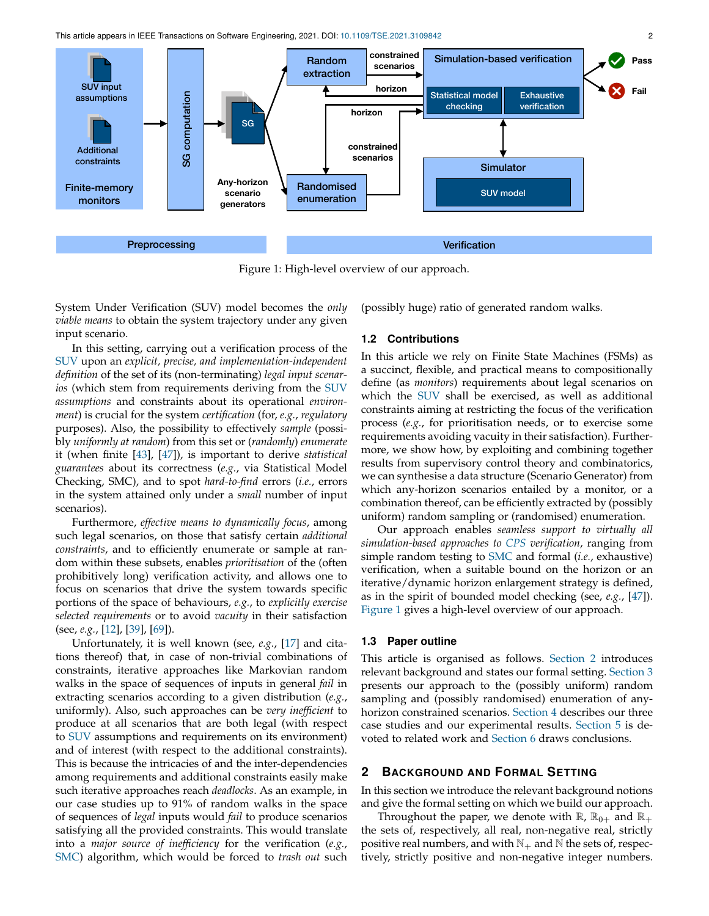This article appears in IEEE Transactions on Software Engineering, 2021. DOI: [10.1109/TSE.2021.3109842](http://doi.org/10.1109/TSE.2021.3109842) 2

<span id="page-1-2"></span>

Figure 1: High-level overview of our approach.

<span id="page-1-0"></span>System Under Verification (SUV) model becomes the *only viable means* to obtain the system trajectory under any given input scenario.

In this setting, carrying out a verification process of the [SUV](#page-1-0) upon an *explicit, precise, and implementation-independent definition* of the set of its (non-terminating) *legal input scenarios* (which stem from requirements deriving from the [SUV](#page-1-0) *assumptions* and constraints about its operational *environment*) is crucial for the system *certification* (for, *e.g.*, *regulatory* purposes). Also, the possibility to effectively *sample* (possibly *uniformly at random*) from this set or (*randomly*) *enumerate* it (when finite [\[43\]](#page-11-0), [\[47\]](#page-11-1)), is important to derive *statistical guarantees* about its correctness (*e.g.*, via Statistical Model Checking, SMC), and to spot *hard-to-find* errors (*i.e.*, errors in the system attained only under a *small* number of input scenarios).

Furthermore, *effective means to dynamically focus*, among such legal scenarios, on those that satisfy certain *additional constraints*, and to efficiently enumerate or sample at random within these subsets, enables *prioritisation* of the (often prohibitively long) verification activity, and allows one to focus on scenarios that drive the system towards specific portions of the space of behaviours, *e.g.*, to *explicitly exercise selected requirements* or to avoid *vacuity* in their satisfaction (see, *e.g.*, [\[12\]](#page-10-2), [\[39\]](#page-11-2), [\[69\]](#page-11-3)).

Unfortunately, it is well known (see, *e.g.*, [\[17\]](#page-10-3) and citations thereof) that, in case of non-trivial combinations of constraints, iterative approaches like Markovian random walks in the space of sequences of inputs in general *fail* in extracting scenarios according to a given distribution (*e.g.*, uniformly). Also, such approaches can be *very inefficient* to produce at all scenarios that are both legal (with respect to [SUV](#page-1-0) assumptions and requirements on its environment) and of interest (with respect to the additional constraints). This is because the intricacies of and the inter-dependencies among requirements and additional constraints easily make such iterative approaches reach *deadlocks*. As an example, in our case studies up to 91% of random walks in the space of sequences of *legal* inputs would *fail* to produce scenarios satisfying all the provided constraints. This would translate into a *major source of inefficiency* for the verification (*e.g.*, [SMC\)](#page-1-1) algorithm, which would be forced to *trash out* such

(possibly huge) ratio of generated random walks.

#### **1.2 Contributions**

<span id="page-1-4"></span>In this article we rely on Finite State Machines (FSMs) as a succinct, flexible, and practical means to compositionally define (as *monitors*) requirements about legal scenarios on which the [SUV](#page-1-0) shall be exercised, as well as additional constraints aiming at restricting the focus of the verification process (*e.g.*, for prioritisation needs, or to exercise some requirements avoiding vacuity in their satisfaction). Furthermore, we show how, by exploiting and combining together results from supervisory control theory and combinatorics, we can synthesise a data structure (Scenario Generator) from which any-horizon scenarios entailed by a monitor, or a combination thereof, can be efficiently extracted by (possibly uniform) random sampling or (randomised) enumeration.

<span id="page-1-1"></span>Our approach enables *seamless support to virtually all simulation-based approaches to [CPS](#page-0-2) verification*, ranging from simple random testing to [SMC](#page-1-1) and formal (*i.e.*, exhaustive) verification, when a suitable bound on the horizon or an iterative/dynamic horizon enlargement strategy is defined, as in the spirit of bounded model checking (see, *e.g.*, [\[47\]](#page-11-1)). [Figure 1](#page-1-2) gives a high-level overview of our approach.

## **1.3 Paper outline**

This article is organised as follows. [Section 2](#page-1-3) introduces relevant background and states our formal setting. [Section 3](#page-3-0) presents our approach to the (possibly uniform) random sampling and (possibly randomised) enumeration of anyhorizon constrained scenarios. [Section 4](#page-5-0) describes our three case studies and our experimental results. [Section 5](#page-8-0) is devoted to related work and [Section 6](#page-9-0) draws conclusions.

## <span id="page-1-3"></span>**2 BACKGROUND AND FORMAL SETTING**

In this section we introduce the relevant background notions and give the formal setting on which we build our approach.

Throughout the paper, we denote with  $\mathbb{R}$ ,  $\mathbb{R}_{0+}$  and  $\mathbb{R}_+$ the sets of, respectively, all real, non-negative real, strictly positive real numbers, and with  $\mathbb{N}_+$  and  $\mathbb{N}$  the sets of, respectively, strictly positive and non-negative integer numbers.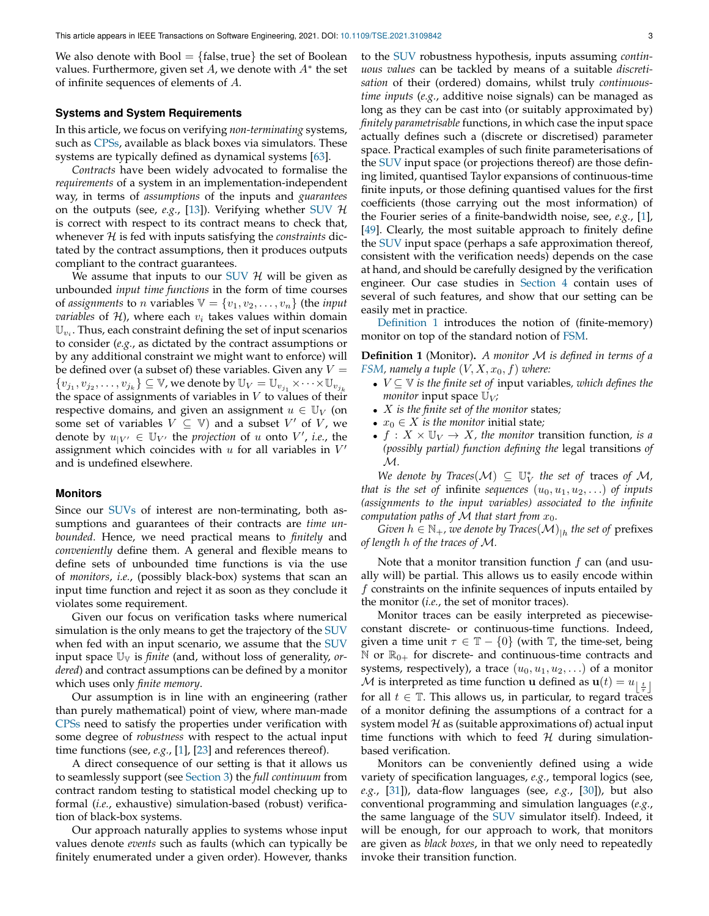We also denote with  $Bool = \{false, true\}$  the set of Boolean values. Furthermore, given set  $A$ , we denote with  $A^*$  the set of infinite sequences of elements of A.

### **Systems and System Requirements**

In this article, we focus on verifying *non-terminating* systems, such as [CPSs,](#page-0-2) available as black boxes via simulators. These systems are typically defined as dynamical systems [\[63\]](#page-11-4).

*Contracts* have been widely advocated to formalise the *requirements* of a system in an implementation-independent way, in terms of *assumptions* of the inputs and *guarantees* on the outputs (see, *e.g.*, [\[13\]](#page-10-4)). Verifying whether [SUV](#page-1-0) H is correct with respect to its contract means to check that, whenever H is fed with inputs satisfying the *constraints* dictated by the contract assumptions, then it produces outputs compliant to the contract guarantees.

We assume that inputs to our [SUV](#page-1-0)  $\mathcal{H}$  will be given as unbounded *input time functions* in the form of time courses of *assignments* to *n* variables  $V = \{v_1, v_2, \dots, v_n\}$  (the *input variables* of  $H$ ), where each  $v_i$  takes values within domain  $\mathbb{U}_{v_i}$ . Thus, each constraint defining the set of input scenarios to consider (*e.g.*, as dictated by the contract assumptions or by any additional constraint we might want to enforce) will be defined over (a subset of) these variables. Given any  $V =$  $\{v_{j_1}, v_{j_2}, \ldots, v_{j_k}\} \subseteq \mathbb{V}$ , we denote by  $\mathbb{U}_V = \mathbb{U}_{v_{j_1}} \times \cdots \times \mathbb{U}_{v_{j_k}}$ the space of assignments of variables in  $V$  to values of their respective domains, and given an assignment  $u \in U_V$  (on some set of variables  $V \subseteq V$ ) and a subset  $V'$  of  $V$ , we denote by  $u_{|V'} \in \mathbb{U}_{V'}$  the *projection* of u onto V', *i.e.*, the assignment which coincides with  $u$  for all variables in  $V'$ and is undefined elsewhere.

#### **Monitors**

Since our [SUVs](#page-1-0) of interest are non-terminating, both assumptions and guarantees of their contracts are *time unbounded*. Hence, we need practical means to *finitely* and *conveniently* define them. A general and flexible means to define sets of unbounded time functions is via the use of *monitors*, *i.e.*, (possibly black-box) systems that scan an input time function and reject it as soon as they conclude it violates some requirement.

Given our focus on verification tasks where numerical simulation is the only means to get the trajectory of the [SUV](#page-1-0) when fed with an input scenario, we assume that the [SUV](#page-1-0) input space  $\mathbb{U}_{\mathbb{V}}$  is *finite* (and, without loss of generality, *ordered*) and contract assumptions can be defined by a monitor which uses only *finite memory*.

Our assumption is in line with an engineering (rather than purely mathematical) point of view, where man-made [CPSs](#page-0-2) need to satisfy the properties under verification with some degree of *robustness* with respect to the actual input time functions (see, *e.g.*, [\[1\]](#page-10-5), [\[23\]](#page-10-6) and references thereof).

A direct consequence of our setting is that it allows us to seamlessly support (see [Section 3\)](#page-3-0) the *full continuum* from contract random testing to statistical model checking up to formal (*i.e.*, exhaustive) simulation-based (robust) verification of black-box systems.

Our approach naturally applies to systems whose input values denote *events* such as faults (which can typically be finitely enumerated under a given order). However, thanks

to the [SUV](#page-1-0) robustness hypothesis, inputs assuming *continuous values* can be tackled by means of a suitable *discretisation* of their (ordered) domains, whilst truly *continuoustime inputs* (*e.g.*, additive noise signals) can be managed as long as they can be cast into (or suitably approximated by) *finitely parametrisable* functions, in which case the input space actually defines such a (discrete or discretised) parameter space. Practical examples of such finite parameterisations of the [SUV](#page-1-0) input space (or projections thereof) are those defining limited, quantised Taylor expansions of continuous-time finite inputs, or those defining quantised values for the first coefficients (those carrying out the most information) of the Fourier series of a finite-bandwidth noise, see, *e.g.*, [\[1\]](#page-10-5), [\[49\]](#page-11-5). Clearly, the most suitable approach to finitely define the [SUV](#page-1-0) input space (perhaps a safe approximation thereof, consistent with the verification needs) depends on the case at hand, and should be carefully designed by the verification engineer. Our case studies in [Section 4](#page-5-0) contain uses of several of such features, and show that our setting can be easily met in practice.

[Definition 1](#page-2-0) introduces the notion of (finite-memory) monitor on top of the standard notion of [FSM.](#page-1-4)

<span id="page-2-0"></span>**Definition 1** (Monitor)**.** *A monitor* M *is defined in terms of a [FSM,](#page-1-4) namely a tuple*  $(V, X, x_0, f)$  *where:* 

- V ⊆ V *is the finite set of* input variables*, which defines the monitor* input space  $\mathbb{U}_V$ *;*
- X *is the finite set of the monitor* states*;*
- $x_0 \in X$  *is the monitor* initial state;
- $f: X \times \mathbb{U}_V \rightarrow X$ , the monitor transition function, is a *(possibly partial) function defining the* legal transitions *of* M*.*

 $We denote by Traces(M) \subseteq U_V^*$  the set of traces of M, *that is the set of infinite sequences*  $(u_0, u_1, u_2, ...)$  *of inputs (assignments to the input variables) associated to the infinite computation paths of*  $M$  *that start from*  $x_0$ *.* 

 $Given\ h\in\mathbb{N}_+$ , we denote by Traces $(\mathcal{M})_{\mid h}$  the set of prefixes *of length* h *of the traces of* M*.*

Note that a monitor transition function  $f$  can (and usually will) be partial. This allows us to easily encode within f constraints on the infinite sequences of inputs entailed by the monitor (*i.e.*, the set of monitor traces).

Monitor traces can be easily interpreted as piecewiseconstant discrete- or continuous-time functions. Indeed, given a time unit  $\tau \in \mathbb{T} - \{0\}$  (with  $\mathbb{T}$ , the time-set, being N or  $\mathbb{R}_{0+}$  for discrete- and continuous-time contracts and systems, respectively), a trace  $(u_0, u_1, u_2, \ldots)$  of a monitor  ${\cal M}$  is interpreted as time function **u** defined as  ${\bf u}(t) = u_{\left\lfloor \frac{t}{\tau} \right\rfloor}$ for all  $t \in \mathbb{T}$ . This allows us, in particular, to regard traces of a monitor defining the assumptions of a contract for a system model  $H$  as (suitable approximations of) actual input time functions with which to feed  $H$  during simulationbased verification.

Monitors can be conveniently defined using a wide variety of specification languages, *e.g.*, temporal logics (see, *e.g.*, [\[31\]](#page-10-7)), data-flow languages (see, *e.g.*, [\[30\]](#page-10-8)), but also conventional programming and simulation languages (*e.g.*, the same language of the [SUV](#page-1-0) simulator itself). Indeed, it will be enough, for our approach to work, that monitors are given as *black boxes*, in that we only need to repeatedly invoke their transition function.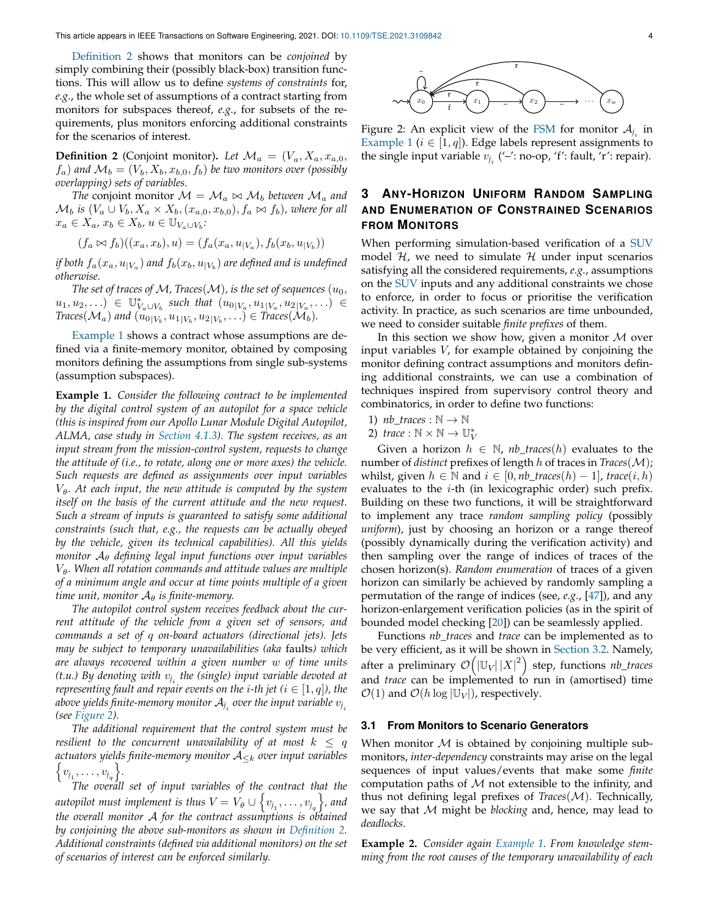[Definition 2](#page-3-1) shows that monitors can be *conjoined* by simply combining their (possibly black-box) transition functions. This will allow us to define *systems of constraints* for, *e.g.*, the whole set of assumptions of a contract starting from monitors for subspaces thereof, *e.g.*, for subsets of the requirements, plus monitors enforcing additional constraints for the scenarios of interest.

<span id="page-3-1"></span>**Definition 2** (Conjoint monitor). Let  $\mathcal{M}_a = (V_a, X_a, x_{a,0},$  $f_a$ ) and  $\mathcal{M}_b = (V_b, X_b, x_{b,0}, f_b)$  be two monitors over (possibly *overlapping) sets of variables.*

*The* conjoint monitor  $M = M_a \bowtie M_b$  *between*  $M_a$  *and*  $\mathcal{M}_b$  *is*  $(V_a \cup V_b, X_a \times X_b, (x_{a,0}, x_{b,0}), f_a \bowtie f_b)$ *, where for all*  $x_a \in X_a$ ,  $x_b \in X_b$ ,  $u \in \mathbb{U}_{V_a \cup V_b}$ :

$$
(f_a \bowtie f_b)((x_a, x_b), u) = (f_a(x_a, u_{|V_a}), f_b(x_b, u_{|V_b}))
$$

*if both*  $f_a(x_a, u_{|V_a})$  *and*  $f_b(x_b, u_{|V_b})$  *are defined and is undefined otherwise.*

*The set of traces of M, Traces*( $M$ ), is the set of sequences ( $u_0$ ,  $(u_1, u_2, \ldots) \in \mathbb{U}_{V_a \cup V_b}^*$  such that  $(u_{0|V_a}, u_{1|V_a}, u_{2|V_a}, \ldots) \in$  $\text{Traces}(\mathcal{M}_a)$  and  $(\tilde{u_0}_{|V_b}, \tilde{u_1}_{|V_b}, \tilde{u_2}_{|V_b}, \ldots) \in \text{Traces}(\mathcal{M}_b)$ .

[Example 1](#page-3-2) shows a contract whose assumptions are defined via a finite-memory monitor, obtained by composing monitors defining the assumptions from single sub-systems (assumption subspaces).

<span id="page-3-2"></span>**Example 1.** *Consider the following contract to be implemented by the digital control system of an autopilot for a space vehicle (this is inspired from our Apollo Lunar Module Digital Autopilot, ALMA, case study in [Section 4.1.3\)](#page-6-0). The system receives, as an input stream from the mission-control system, requests to change the attitude of (i.e., to rotate, along one or more axes) the vehicle. Such requests are defined as assignments over input variables*  $V_{\theta}$ . At each input, the new attitude is computed by the system *itself on the basis of the current attitude and the new request. Such a stream of inputs is guaranteed to satisfy some additional constraints (such that, e.g., the requests can be actually obeyed by the vehicle, given its technical capabilities). All this yields monitor* A<sup>θ</sup> *defining legal input functions over input variables*  $V$ <sub>θ</sub>. When all rotation commands and attitude values are multiple *of a minimum angle and occur at time points multiple of a given time unit, monitor*  $A_{\theta}$  *is finite-memory.* 

*The autopilot control system receives feedback about the current attitude of the vehicle from a given set of sensors, and commands a set of* q *on-board actuators (directional jets). Jets may be subject to temporary unavailabilities (aka* faults*) which are always recovered within a given number* w *of time units* (t.u.) By denoting with  $v_{j_i}$  the (single) input variable devoted at *representing fault and repair events on the <i>i*-th jet ( $i \in [1, q]$ ), the above yields finite-memory monitor  $\mathcal{A}_{j_i}$  over the input variable  $v_{j_i}$ *(see [Figure 2\)](#page-3-3).*

*The additional requirement that the control system must be resilient to the concurrent unavailability of at most*  $k \leq q$ *actuators yields finite-memory monitor* A<sup>≤</sup><sup>k</sup> *over input variables*  $\{v_{j_1}, \ldots, v_{j_q}\}.$ 

*The overall set of input variables of the contract that the* autopilot must implement is thus  $V = V_\theta \cup \left\{ v_{j_1}, \dots, v_{j_q} \right\}$ , and *the overall monitor* A *for the contract assumptions is obtained by conjoining the above sub-monitors as shown in [Definition 2.](#page-3-1) Additional constraints (defined via additional monitors) on the set of scenarios of interest can be enforced similarly.*

<span id="page-3-3"></span>

Figure 2: An explicit view of the [FSM](#page-1-4) for monitor  $\mathcal{A}_{j_i}$  in [Example 1](#page-3-2) ( $i \in [1, q]$ ). Edge labels represent assignments to the single input variable  $v_{j_i}$  ('-': no-op, 'f': fault, 'r': repair).

## <span id="page-3-0"></span>**3 ANY-HORIZON UNIFORM RANDOM SAMPLING AND ENUMERATION OF CONSTRAINED SCENARIOS FROM MONITORS**

When performing simulation-based verification of a [SUV](#page-1-0) model  $H$ , we need to simulate  $H$  under input scenarios satisfying all the considered requirements, *e.g.*, assumptions on the [SUV](#page-1-0) inputs and any additional constraints we chose to enforce, in order to focus or prioritise the verification activity. In practice, as such scenarios are time unbounded, we need to consider suitable *finite prefixes* of them.

In this section we show how, given a monitor  $M$  over input variables V, for example obtained by conjoining the monitor defining contract assumptions and monitors defining additional constraints, we can use a combination of techniques inspired from supervisory control theory and combinatorics, in order to define two functions:

- 1)  $nb\_traces : \mathbb{N} \to \mathbb{N}$
- 2) *trace* :  $\mathbb{N} \times \mathbb{N} \to \mathbb{U}_V^*$

Given a horizon  $h \in \mathbb{N}$ ,  $nb\_traces(h)$  evaluates to the number of *distinct* prefixes of length h of traces in *Traces*(M); whilst, given  $h$  ∈ N and  $i$  ∈ [0, *nb\_traces*( $h$ ) – 1], *trace*( $i$ ,  $h$ ) evaluates to the *i*-th (in lexicographic order) such prefix. Building on these two functions, it will be straightforward to implement any trace *random sampling policy* (possibly *uniform*), just by choosing an horizon or a range thereof (possibly dynamically during the verification activity) and then sampling over the range of indices of traces of the chosen horizon(s). *Random enumeration* of traces of a given horizon can similarly be achieved by randomly sampling a permutation of the range of indices (see, *e.g.*, [\[47\]](#page-11-1)), and any horizon-enlargement verification policies (as in the spirit of bounded model checking [\[20\]](#page-10-9)) can be seamlessly applied.

<span id="page-3-4"></span>Functions *nb\_traces* and *trace* can be implemented as to be very efficient, as it will be shown in [Section 3.2.](#page-4-0) Namely, after a preliminary  $\mathcal{O}\!\left(|\mathbb{U}_V|\,|X|^2\right)$  step, functions  $\mathit{nb\_traces}$ and *trace* can be implemented to run in (amortised) time  $\mathcal{O}(1)$  and  $\mathcal{O}(h \log |\mathbb{U}_V|)$ , respectively.

#### **3.1 From Monitors to Scenario Generators**

When monitor  $M$  is obtained by conjoining multiple submonitors, *inter-dependency* constraints may arise on the legal sequences of input values/events that make some *finite* computation paths of  $M$  not extensible to the infinity, and thus not defining legal prefixes of  $Trace(\mathcal{M})$ . Technically, we say that M might be *blocking* and, hence, may lead to *deadlocks*.

**Example 2.** *Consider again [Example 1.](#page-3-2) From knowledge stemming from the root causes of the temporary unavailability of each*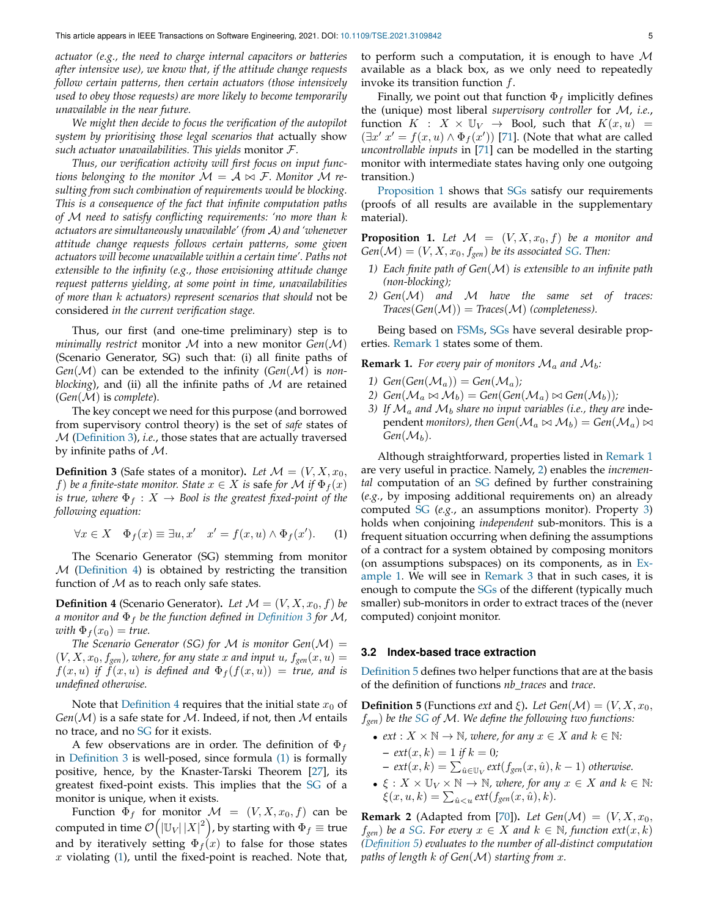*actuator (e.g., the need to charge internal capacitors or batteries after intensive use), we know that, if the attitude change requests follow certain patterns, then certain actuators (those intensively used to obey those requests) are more likely to become temporarily unavailable in the near future.*

*We might then decide to focus the verification of the autopilot system by prioritising those legal scenarios that* actually show *such actuator unavailabilities. This yields* monitor F*.*

*Thus, our verification activity will first focus on input functions belonging to the monitor*  $M = A \bowtie F$ *. Monitor* M *resulting from such combination of requirements would be blocking. This is a consequence of the fact that infinite computation paths of* M *need to satisfy conflicting requirements: 'no more than* k *actuators are simultaneously unavailable' (from* A*) and 'whenever attitude change requests follows certain patterns, some given actuators will become unavailable within a certain time'. Paths not extensible to the infinity (e.g., those envisioning attitude change request patterns yielding, at some point in time, unavailabilities of more than* k *actuators) represent scenarios that should* not be considered *in the current verification stage.*

Thus, our first (and one-time preliminary) step is to *minimally restrict* monitor M into a new monitor *Gen*(M) (Scenario Generator, SG) such that: (i) all finite paths of *Gen*(M) can be extended to the infinity (*Gen*(M) is *nonblocking*), and (ii) all the infinite paths of  $M$  are retained (*Gen*(M) is *complete*).

The key concept we need for this purpose (and borrowed from supervisory control theory) is the set of *safe* states of M [\(Definition 3\)](#page-4-1), *i.e.*, those states that are actually traversed by infinite paths of M.

<span id="page-4-1"></span>**Definition 3** (Safe states of a monitor). Let  $\mathcal{M} = (V, X, x_0,$ f) be a finite-state monitor. State  $x \in X$  is safe for M if  $\Phi_f(x)$ *is true, where*  $\Phi_f: X \to \text{Bool}$  *is the greatest fixed-point of the following equation:*

<span id="page-4-4"></span>
$$
\forall x \in X \quad \Phi_f(x) \equiv \exists u, x' \quad x' = f(x, u) \land \Phi_f(x'). \tag{1}
$$

The Scenario Generator (SG) stemming from monitor M [\(Definition 4\)](#page-4-2) is obtained by restricting the transition function of  $M$  as to reach only safe states.

<span id="page-4-2"></span>**Definition 4** (Scenario Generator). Let  $\mathcal{M} = (V, X, x_0, f)$  be *a monitor and* Φ<sup>f</sup> *be the function defined in [Definition 3](#page-4-1) for* M*,*  $with \Phi_f(x_0) = true.$ 

<span id="page-4-3"></span>*The Scenario Generator (SG) for*  $M$  *is monitor Gen* $(M)$  =  $(V, X, x_0, f_{gen})$ , where, for any state x and input u,  $f_{gen}(x, u) =$  $f(x, u)$  *if*  $f(x, u)$  *is defined and*  $\Phi_f(f(x, u)) =$  *true, and is undefined otherwise.*

Note that [Definition 4](#page-4-2) requires that the initial state  $x_0$  of  $Gen(\mathcal{M})$  is a safe state for  $\mathcal M$ . Indeed, if not, then  $\mathcal M$  entails no trace, and no [SG](#page-4-3) for it exists.

A few observations are in order. The definition of  $\Phi_f$ in [Definition 3](#page-4-1) is well-posed, since formula [\(1\)](#page-4-4) is formally positive, hence, by the Knaster-Tarski Theorem [\[27\]](#page-10-10), its greatest fixed-point exists. This implies that the [SG](#page-4-3) of a monitor is unique, when it exists.

Function  $\Phi_f$  for monitor  $\mathcal{M} = (V, X, x_0, f)$  can be computed in time  $\mathcal{O}\bigl(\left|\mathbb{U}_V\right|\left|X\right|^2 \bigr)$ , by starting with  $\Phi_f\equiv$  true and by iteratively setting  $\Phi_f(x)$  to false for those states  $x$  violating  $(1)$ , until the fixed-point is reached. Note that, to perform such a computation, it is enough to have  $M$ available as a black box, as we only need to repeatedly invoke its transition function  $f$ .

Finally, we point out that function  $\Phi_f$  implicitly defines the (unique) most liberal *supervisory controller* for M, *i.e.*, function  $K : X \times \mathbb{U}_V \rightarrow$  Bool, such that  $K(x, u) =$  $(\exists x' x' = f(x, u) \land \Phi_f(x'))$  [\[71\]](#page-11-6). (Note that what are called *uncontrollable inputs* in [\[71\]](#page-11-6) can be modelled in the starting monitor with intermediate states having only one outgoing transition.)

[Proposition 1](#page-4-5) shows that [SGs](#page-4-3) satisfy our requirements (proofs of all results are available in the supplementary material).

<span id="page-4-5"></span>**Proposition 1.** Let  $\mathcal{M} = (V, X, x_0, f)$  be a monitor and  $Gen(\mathcal{M}) = (V, X, x_0, f_{gen})$  *be its associated [SG.](#page-4-3) Then:* 

- *1) Each finite path of Gen*(M) *is extensible to an infinite path (non-blocking);*
- *2) Gen*(M) *and* M *have the same set of traces:*  $Trace(Gen(M)) = Trace(M)$  *(completeness).*

Being based on [FSMs,](#page-1-4) [SGs](#page-4-3) have several desirable properties. [Remark 1](#page-4-6) states some of them.

<span id="page-4-6"></span>**Remark 1.** For every pair of monitors  $\mathcal{M}_a$  and  $\mathcal{M}_b$ :

- 1)  $Gen(Gen(M_a)) = Gen(\mathcal{M}_a);$
- 2)  $Gen(\mathcal{M}_a \bowtie \mathcal{M}_b) = Gen(Gen(\mathcal{M}_a) \bowtie Gen(\mathcal{M}_b));$
- *3)* If  $\mathcal{M}_a$  and  $\mathcal{M}_b$  share no input variables (i.e., they are independent *monitors*), then  $Gen(\mathcal{M}_a \bowtie \mathcal{M}_b) = Gen(\mathcal{M}_a) \bowtie$ *Gen* $(\mathcal{M}_b)$ *.*

Although straightforward, properties listed in [Remark 1](#page-4-6) are very useful in practice. Namely, [2\)](#page-12-0) enables the *incremental* computation of an [SG](#page-4-3) defined by further constraining (*e.g.*, by imposing additional requirements on) an already computed [SG](#page-4-3) (*e.g.*, an assumptions monitor). Property [3\)](#page-12-1) holds when conjoining *independent* sub-monitors. This is a frequent situation occurring when defining the assumptions of a contract for a system obtained by composing monitors (on assumptions subspaces) on its components, as in [Ex](#page-3-2)[ample 1.](#page-3-2) We will see in [Remark 3](#page-5-1) that in such cases, it is enough to compute the [SGs](#page-4-3) of the different (typically much smaller) sub-monitors in order to extract traces of the (never computed) conjoint monitor.

#### <span id="page-4-0"></span>**3.2 Index-based trace extraction**

[Definition 5](#page-4-7) defines two helper functions that are at the basis of the definition of functions *nb\_traces* and *trace*.

<span id="page-4-7"></span>**Definition 5** (Functions *ext* and *ξ*). *Let*  $Gen(\mathcal{M}) = (V, X, x_0,$ f*gen*) *be the [SG](#page-4-3) of* M*. We define the following two functions:*

- *ext* :  $X \times \mathbb{N} \to \mathbb{N}$ *, where, for any*  $x \in X$  *and*  $k \in \mathbb{N}$ *: –*  $ext(x, k) = 1$  *if*  $k = 0$ *;*  $-$  ext $(x, k) = \sum_{\hat{u} \in \mathbb{U}_V} ext(f_{gen}(x, \hat{u}), k - 1)$  otherwise.
- $\xi: X \times \mathbb{U}_V \times \mathbb{N} \to \mathbb{N}$ , where, for any  $x \in X$  and  $k \in \mathbb{N}$ :  $\xi(x, u, k) = \sum_{\hat{u} < u} \exp(f_{gen}(x, \hat{u}), k).$

<span id="page-4-8"></span>**Remark 2** (Adapted from [\[70\]](#page-11-7)). Let  $Gen(\mathcal{M}) = (V, X, x_0,$  $f_{gen}$ ) *be a [SG.](#page-4-3)* For every  $x \in X$  and  $k \in \mathbb{N}$ , function  $ext(x, k)$ *[\(Definition 5\)](#page-4-7) evaluates to the number of all-distinct computation paths of length* k *of Gen*(M) *starting from* x*.*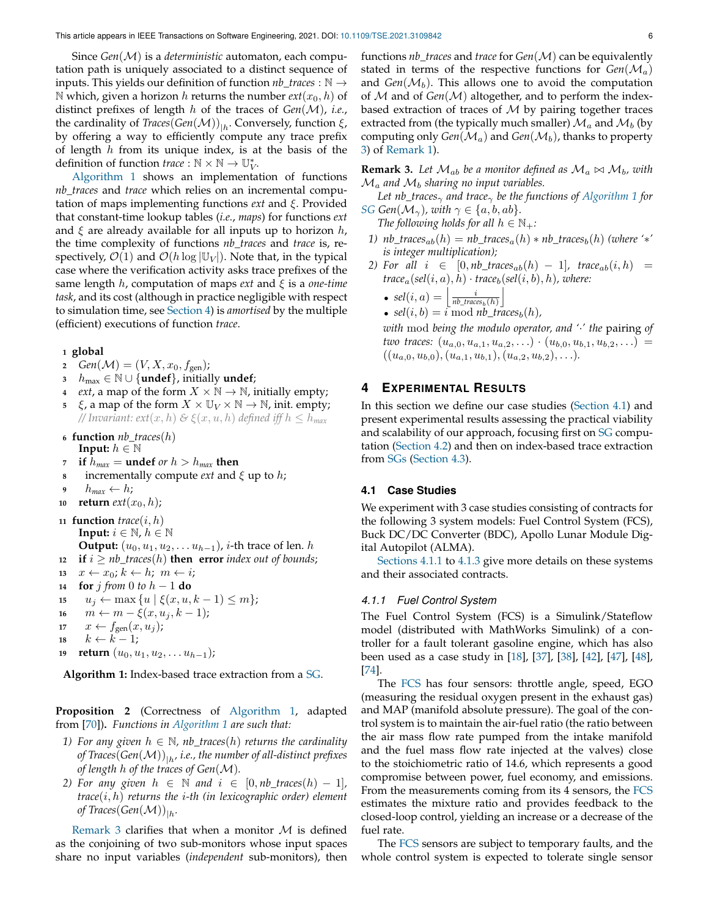Since *Gen*(M) is a *deterministic* automaton, each computation path is uniquely associated to a distinct sequence of inputs. This yields our definition of function *nb\_traces* : N → N which, given a horizon h returns the number  $ext(x_0, h)$  of distinct prefixes of length h of the traces of *Gen*(M), *i.e.*, the cardinality of *Traces*( $Gen(\mathcal{M})$ )<sub>|h</sub>. Conversely, function  $\xi$ , by offering a way to efficiently compute any trace prefix of length  $h$  from its unique index, is at the basis of the definition of function *trace* :  $\mathbb{N} \times \mathbb{N} \to \mathbb{U}_{V}^{*}$ .

[Algorithm 1](#page-5-2) shows an implementation of functions *nb\_traces* and *trace* which relies on an incremental computation of maps implementing functions *ext* and ξ. Provided that constant-time lookup tables (*i.e.*, *maps*) for functions *ext* and  $\xi$  are already available for all inputs up to horizon h, the time complexity of functions *nb\_traces* and *trace* is, respectively,  $\mathcal{O}(1)$  and  $\mathcal{O}(h \log |\mathbb{U}_V|)$ . Note that, in the typical case where the verification activity asks trace prefixes of the same length h, computation of maps *ext* and ξ is a *one-time task*, and its cost (although in practice negligible with respect to simulation time, see [Section 4\)](#page-5-0) is *amortised* by the multiple (efficient) executions of function *trace*.

#### **<sup>1</sup> global**

- **2** *Gen*(*M*) = (*V*, *X*, *x*<sub>0</sub>, *f*<sub>gen</sub>);
- **<sup>3</sup>** hmax ∈ N ∪ {**undef**}, initially **undef**;
- **4** *ext*, a map of the form  $X \times \mathbb{N} \rightarrow \mathbb{N}$ , initially empty;
- $\xi$ , a map of the form  $X \times \mathbb{U}_V \times \mathbb{N} \to \mathbb{N}$ , init. empty; *// Invariant:*  $ext(x, h)$  *&*  $\xi(x, u, h)$  *defined iff*  $h \leq h_{max}$
- **<sup>6</sup> function** *nb\_traces*(h) **Input:**  $h \in \mathbb{N}$
- *7* **if**  $h_{max}$  = **undef** *or*  $h > h_{max}$  **then**
- **incrementally compute** *ext* and  $\xi$  up to h;
- **9**  $h_{max} \leftarrow h$ ;
- 10 **return**  $ext(x_0, h)$ ;
- 11 **function**  $trace(i, h)$ **Input:**  $i \in \mathbb{N}$ ,  $h \in \mathbb{N}$ **Output:**  $(u_0, u_1, u_2, \ldots u_{h-1})$ , *i*-th trace of len. *h* **12 if**  $i \ge nb$ *\_traces*(*h*) **then error** *index out of bounds*;
- 13  $x \leftarrow x_0; k \leftarrow h; m \leftarrow i;$
- **<sup>14</sup> for** j *from* 0 *to* h − 1 **do**
- **15**  $u_j \leftarrow \max\{u \mid \xi(x, u, k-1) \leq m\};$
- 16  $m \leftarrow m \xi(x, u_i, k-1);$
- 17  $x \leftarrow f_{gen}(x, u_j);$
- 18  $k \leftarrow \overline{k-1}$ ;
- **19 return**  $(u_0, u_1, u_2, \ldots u_{h-1});$

<span id="page-5-2"></span>**Algorithm 1:** Index-based trace extraction from a [SG.](#page-4-3)

<span id="page-5-6"></span>**Proposition 2** (Correctness of [Algorithm 1,](#page-5-2) adapted from [\[70\]](#page-11-7))**.** *Functions in [Algorithm 1](#page-5-2) are such that:*

- *1)* For any given  $h \in \mathbb{N}$ , nb\_traces(h) returns the cardinality of Traces(Gen(M))<sub>|h</sub>, i.e., the number of all-distinct prefixes *of length* h *of the traces of Gen*(M)*.*
- *2)* For any given  $h \in \mathbb{N}$  and  $i \in [0, nb\_traces(h) 1]$ , *trace*(i, h) *returns the* i*-th (in lexicographic order) element* of Traces(Gen $\left(\mathcal{M}\right))_{|h}.$

[Remark 3](#page-5-1) clarifies that when a monitor  $M$  is defined as the conjoining of two sub-monitors whose input spaces share no input variables (*independent* sub-monitors), then

functions *nb\_traces* and *trace* for *Gen*(M) can be equivalently stated in terms of the respective functions for  $Gen(M_a)$ and  $Gen(\mathcal{M}_b)$ . This allows one to avoid the computation of M and of *Gen*(M) altogether, and to perform the indexbased extraction of traces of  $M$  by pairing together traces extracted from (the typically much smaller)  $\mathcal{M}_a$  and  $\mathcal{M}_b$  (by computing only  $Gen(\mathcal{M}_a)$  and  $Gen(\mathcal{M}_b)$ , thanks to property [3\)](#page-12-1) of [Remark 1\)](#page-4-6).

<span id="page-5-1"></span>**Remark 3.** Let  $\mathcal{M}_{ab}$  be a monitor defined as  $\mathcal{M}_a \bowtie \mathcal{M}_b$ , with  $\mathcal{M}_a$  and  $\mathcal{M}_b$  sharing no input variables.

*Let nb\_traces*<sub> $\gamma$ </sub> *and trace*<sub> $\gamma$ </sub> *be the functions of [Algorithm 1](#page-5-2) for [SG](#page-4-3) Gen*( $\mathcal{M}_{\gamma}$ ), with  $\gamma \in \{a, b, ab\}$ .

*The following holds for all*  $h \in \mathbb{N}_+$ *:* 

- *1)*  $nb\_traces_{ab}(h) = nb\_traces_a(h) * nb\_traces_b(h)$  *(where '*\*' *is integer multiplication);*
- *2)* For all  $i \in [0, nb\_traces_{ab}(h) 1]$ ,  $trace_{ab}(i, h) =$  $trace_a(self(i, a), h) \cdot trace_b(self(i, b), h)$ *, where:*

• 
$$
sel(i, a) = \left\lfloor \frac{i}{nb\_traces_b(h)} \right\rfloor
$$

• 
$$
sel(i, b) = i \mod nb\_traces_b(h),
$$

*with* mod *being the modulo operator, and '*·*' the* pairing *of two traces:*  $(u_{a,0}, u_{a,1}, u_{a,2}, \ldots) \cdot (u_{b,0}, u_{b,1}, u_{b,2}, \ldots) =$  $((u_{a,0}, u_{b,0}), (u_{a,1}, u_{b,1}), (u_{a,2}, u_{b,2}), \ldots).$ 

## <span id="page-5-0"></span>**4 EXPERIMENTAL RESULTS**

In this section we define our case studies [\(Section 4.1\)](#page-5-3) and present experimental results assessing the practical viability and scalability of our approach, focusing first on [SG](#page-4-3) computation [\(Section 4.2\)](#page-7-0) and then on index-based trace extraction from [SGs](#page-4-3) [\(Section 4.3\)](#page-7-1).

#### <span id="page-5-3"></span>**4.1 Case Studies**

We experiment with 3 case studies consisting of contracts for the following 3 system models: Fuel Control System (FCS), Buck DC/DC Converter (BDC), Apollo Lunar Module Digital Autopilot (ALMA).

[Sections 4.1.1](#page-5-4) to [4.1.3](#page-6-0) give more details on these systems and their associated contracts.

#### <span id="page-5-4"></span>*4.1.1 Fuel Control System*

<span id="page-5-5"></span>The Fuel Control System (FCS) is a Simulink/Stateflow model (distributed with MathWorks Simulink) of a controller for a fault tolerant gasoline engine, which has also been used as a case study in [\[18\]](#page-10-11), [\[37\]](#page-11-8), [\[38\]](#page-11-9), [\[42\]](#page-11-10), [\[47\]](#page-11-1), [\[48\]](#page-11-11), [\[74\]](#page-12-2).

The [FCS](#page-5-5) has four sensors: throttle angle, speed, EGO (measuring the residual oxygen present in the exhaust gas) and MAP (manifold absolute pressure). The goal of the control system is to maintain the air-fuel ratio (the ratio between the air mass flow rate pumped from the intake manifold and the fuel mass flow rate injected at the valves) close to the stoichiometric ratio of 14.6, which represents a good compromise between power, fuel economy, and emissions. From the measurements coming from its 4 sensors, the [FCS](#page-5-5) estimates the mixture ratio and provides feedback to the closed-loop control, yielding an increase or a decrease of the fuel rate.

The [FCS](#page-5-5) sensors are subject to temporary faults, and the whole control system is expected to tolerate single sensor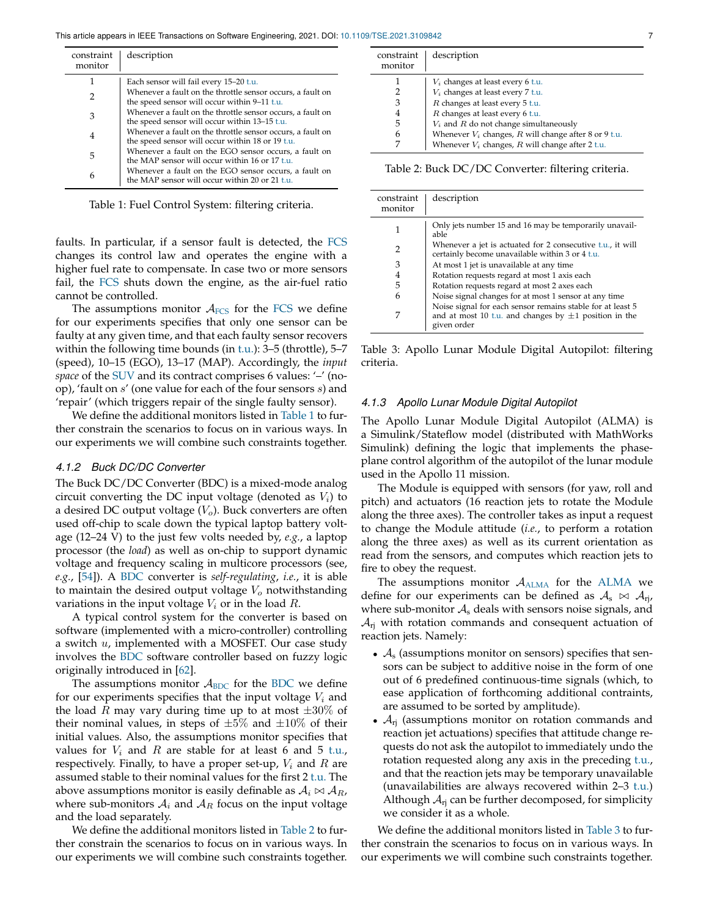<span id="page-6-1"></span>

| constraint<br>monitor | description                                                                                                    |
|-----------------------|----------------------------------------------------------------------------------------------------------------|
|                       | Each sensor will fail every 15-20 t.u.                                                                         |
| 2                     | Whenever a fault on the throttle sensor occurs, a fault on<br>the speed sensor will occur within 9-11 t.u.     |
| 3                     | Whenever a fault on the throttle sensor occurs, a fault on<br>the speed sensor will occur within 13–15 t.u.    |
| 4                     | Whenever a fault on the throttle sensor occurs, a fault on<br>the speed sensor will occur within 18 or 19 t.u. |
| 5                     | Whenever a fault on the EGO sensor occurs, a fault on<br>the MAP sensor will occur within 16 or 17 t.u.        |
| 6                     | Whenever a fault on the EGO sensor occurs, a fault on<br>the MAP sensor will occur within 20 or 21 t.u.        |
|                       |                                                                                                                |

Table 1: Fuel Control System: filtering criteria.

faults. In particular, if a sensor fault is detected, the [FCS](#page-5-5) changes its control law and operates the engine with a higher fuel rate to compensate. In case two or more sensors fail, the [FCS](#page-5-5) shuts down the engine, as the air-fuel ratio cannot be controlled.

The assumptions monitor  $A_{\text{FCS}}$  $A_{\text{FCS}}$  $A_{\text{FCS}}$  for the FCS we define for our experiments specifies that only one sensor can be faulty at any given time, and that each faulty sensor recovers within the following time bounds (in [t.u.\)](#page-3-4): 3–5 (throttle), 5–7 (speed), 10–15 (EGO), 13–17 (MAP). Accordingly, the *input space* of the [SUV](#page-1-0) and its contract comprises 6 values: '–' (noop), 'fault on s' (one value for each of the four sensors s) and 'repair' (which triggers repair of the single faulty sensor).

We define the additional monitors listed in [Table 1](#page-6-1) to further constrain the scenarios to focus on in various ways. In our experiments we will combine such constraints together.

#### *4.1.2 Buck DC/DC Converter*

<span id="page-6-2"></span>The Buck DC/DC Converter (BDC) is a mixed-mode analog circuit converting the DC input voltage (denoted as  $V_i$ ) to a desired DC output voltage  $(V_o)$ . Buck converters are often used off-chip to scale down the typical laptop battery voltage (12–24 V) to the just few volts needed by, *e.g.*, a laptop processor (the *load*) as well as on-chip to support dynamic voltage and frequency scaling in multicore processors (see, *e.g.*, [\[54\]](#page-11-12)). A [BDC](#page-6-2) converter is *self-regulating*, *i.e.*, it is able to maintain the desired output voltage  $V_o$  notwithstanding variations in the input voltage  $V_i$  or in the load  $R$ .

A typical control system for the converter is based on software (implemented with a micro-controller) controlling a switch  $u$ , implemented with a MOSFET. Our case study involves the [BDC](#page-6-2) software controller based on fuzzy logic originally introduced in [\[62\]](#page-11-13).

The assumptions monitor  $A_{BDC}$  $A_{BDC}$  $A_{BDC}$  for the BDC we define for our experiments specifies that the input voltage  $V_i$  and the load R may vary during time up to at most  $\pm 30\%$  of their nominal values, in steps of  $\pm 5\%$  and  $\pm 10\%$  of their initial values. Also, the assumptions monitor specifies that values for  $V_i$  and R are stable for at least 6 and 5 [t.u.,](#page-3-4) respectively. Finally, to have a proper set-up,  $V_i$  and  $R$  are assumed stable to their nominal values for the first 2 [t.u.](#page-3-4) The above assumptions monitor is easily definable as  $A_i \bowtie A_{R_i}$ where sub-monitors  $A_i$  and  $A_R$  focus on the input voltage and the load separately.

We define the additional monitors listed in [Table 2](#page-6-3) to further constrain the scenarios to focus on in various ways. In our experiments we will combine such constraints together.

<span id="page-6-3"></span>constraint monitor description  $1 \t | V_i$  changes at least every 6 [t.u.](#page-3-4) 2  $V_i$  changes at least every 7 [t.u.](#page-3-4)<br>3  $R$  changes at least every 5 t.u.  $\begin{array}{|l|l|} \hline 3 & R \hline 4 & R \hline 6 & R \hline \end{array}$  R changes at least every 6 [t.u.](#page-3-4) 4 R changes at least every 6 [t.u.](#page-3-4)<br>  $V_i$  and R do not change simu  $V_i$  and  $R$  do not change simultaneously 6 Whenever  $V_i$  changes, R will change after 8 or 9 [t.u.](#page-3-4)<br>7 Whenever  $V_i$  changes, R will change after 2 t.u. Whenever  $V_i$  changes,  $R$  will change after 2 [t.u.](#page-3-4)

Table 2: Buck DC/DC Converter: filtering criteria.

<span id="page-6-5"></span>

| constraint<br>monitor | description                                                                                                                             |
|-----------------------|-----------------------------------------------------------------------------------------------------------------------------------------|
|                       | Only jets number 15 and 16 may be temporarily unavail-<br>able                                                                          |
| 2                     | Whenever a jet is actuated for 2 consecutive t.u., it will<br>certainly become unavailable within 3 or 4 t.u.                           |
| 3                     | At most 1 jet is unavailable at any time                                                                                                |
| 4                     | Rotation requests regard at most 1 axis each                                                                                            |
| 5                     | Rotation requests regard at most 2 axes each                                                                                            |
| 6                     | Noise signal changes for at most 1 sensor at any time                                                                                   |
|                       | Noise signal for each sensor remains stable for at least 5<br>and at most 10 t.u. and changes by $\pm 1$ position in the<br>given order |

Table 3: Apollo Lunar Module Digital Autopilot: filtering criteria.

#### <span id="page-6-0"></span>*4.1.3 Apollo Lunar Module Digital Autopilot*

<span id="page-6-4"></span>The Apollo Lunar Module Digital Autopilot (ALMA) is a Simulink/Stateflow model (distributed with MathWorks Simulink) defining the logic that implements the phaseplane control algorithm of the autopilot of the lunar module used in the Apollo 11 mission.

The Module is equipped with sensors (for yaw, roll and pitch) and actuators (16 reaction jets to rotate the Module along the three axes). The controller takes as input a request to change the Module attitude (*i.e.*, to perform a rotation along the three axes) as well as its current orientation as read from the sensors, and computes which reaction jets to fire to obey the request.

The assumptions monitor  $A_{ALMA}$  $A_{ALMA}$  $A_{ALMA}$  for the ALMA we define for our experiments can be defined as  $A_s \bowtie A_{ri}$ , where sub-monitor  $A_s$  deals with sensors noise signals, and  $A_{ri}$  with rotation commands and consequent actuation of reaction jets. Namely:

- $\mathcal{A}_s$  (assumptions monitor on sensors) specifies that sensors can be subject to additive noise in the form of one out of 6 predefined continuous-time signals (which, to ease application of forthcoming additional contraints, are assumed to be sorted by amplitude).
- $A_{ri}$  (assumptions monitor on rotation commands and reaction jet actuations) specifies that attitude change requests do not ask the autopilot to immediately undo the rotation requested along any axis in the preceding [t.u.,](#page-3-4) and that the reaction jets may be temporary unavailable (unavailabilities are always recovered within 2–3 [t.u.\)](#page-3-4) Although  $A_{rj}$  can be further decomposed, for simplicity we consider it as a whole.

We define the additional monitors listed in [Table 3](#page-6-5) to further constrain the scenarios to focus on in various ways. In our experiments we will combine such constraints together.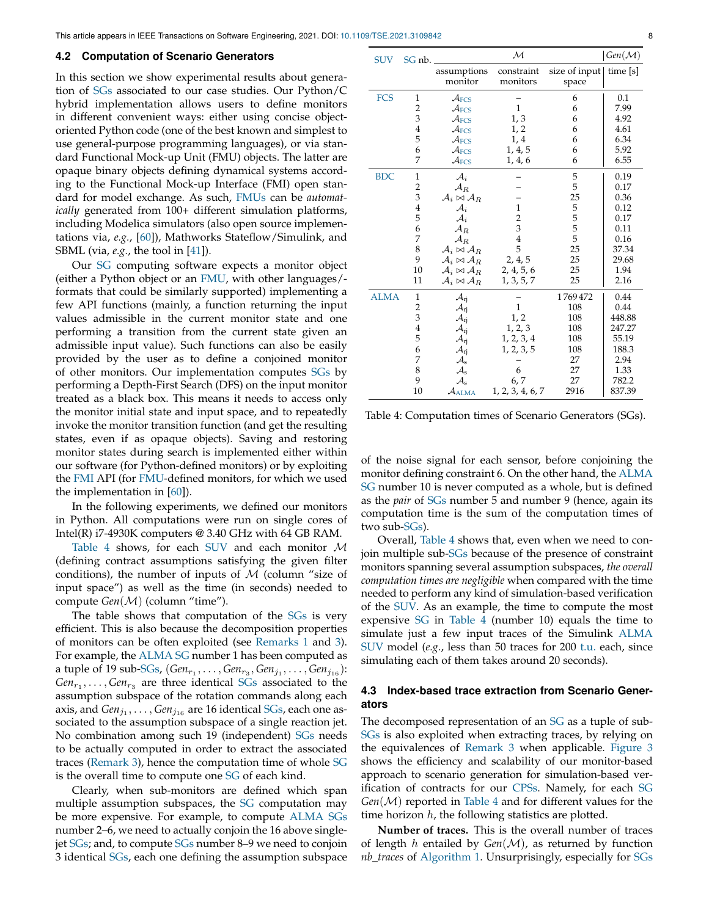#### <span id="page-7-0"></span>**4.2 Computation of Scenario Generators**

<span id="page-7-2"></span>In this section we show experimental results about generation of [SGs](#page-4-3) associated to our case studies. Our Python/C hybrid implementation allows users to define monitors in different convenient ways: either using concise objectoriented Python code (one of the best known and simplest to use general-purpose programming languages), or via standard Functional Mock-up Unit (FMU) objects. The latter are opaque binary objects defining dynamical systems according to the Functional Mock-up Interface (FMI) open standard for model exchange. As such, [FMUs](#page-7-2) can be *automatically* generated from 100+ different simulation platforms, including Modelica simulators (also open source implementations via, *e.g.*, [\[60\]](#page-11-14)), Mathworks Stateflow/Simulink, and SBML (via, *e.g.*, the tool in [\[41\]](#page-11-15)).

<span id="page-7-3"></span>Our [SG](#page-4-3) computing software expects a monitor object (either a Python object or an [FMU,](#page-7-2) with other languages/ formats that could be similarly supported) implementing a few API functions (mainly, a function returning the input values admissible in the current monitor state and one performing a transition from the current state given an admissible input value). Such functions can also be easily provided by the user as to define a conjoined monitor of other monitors. Our implementation computes [SGs](#page-4-3) by performing a Depth-First Search (DFS) on the input monitor treated as a black box. This means it needs to access only the monitor initial state and input space, and to repeatedly invoke the monitor transition function (and get the resulting states, even if as opaque objects). Saving and restoring monitor states during search is implemented either within our software (for Python-defined monitors) or by exploiting the [FMI](#page-7-3) API (for [FMU-](#page-7-2)defined monitors, for which we used the implementation in  $[60]$ ).

In the following experiments, we defined our monitors in Python. All computations were run on single cores of Intel(R)  $i$ 7-4930K computers @ 3.40 GHz with 64 GB RAM.

[Table 4](#page-7-4) shows, for each [SUV](#page-1-0) and each monitor  $M$ (defining contract assumptions satisfying the given filter conditions), the number of inputs of  $M$  (column "size of input space") as well as the time (in seconds) needed to compute *Gen*(M) (column "time").

The table shows that computation of the [SGs](#page-4-3) is very efficient. This is also because the decomposition properties of monitors can be often exploited (see [Remarks 1](#page-4-6) and [3\)](#page-5-1). For example, the [ALMA](#page-6-4) [SG](#page-4-3) number 1 has been computed as a tuple of 19 sub[-SGs,](#page-4-3)  $(Gen_{r_1}, \ldots, Gen_{r_3}, Gen_{j_1}, \ldots, Gen_{j_{16}})$ :  $Gen_{r_1}, \ldots, Gen_{r_3}$  are three identical [SGs](#page-4-3) associated to the assumption subspace of the rotation commands along each axis, and  $Gen_{j_1}, \ldots, Gen_{j_{16}}$  are 16 identical [SGs,](#page-4-3) each one associated to the assumption subspace of a single reaction jet. No combination among such 19 (independent) [SGs](#page-4-3) needs to be actually computed in order to extract the associated traces [\(Remark 3\)](#page-5-1), hence the computation time of whole [SG](#page-4-3) is the overall time to compute one [SG](#page-4-3) of each kind.

Clearly, when sub-monitors are defined which span multiple assumption subspaces, the [SG](#page-4-3) computation may be more expensive. For example, to compute [ALMA](#page-6-4) [SGs](#page-4-3) number 2–6, we need to actually conjoin the 16 above singlejet [SGs;](#page-4-3) and, to compute [SGs](#page-4-3) number 8–9 we need to conjoin 3 identical [SGs,](#page-4-3) each one defining the assumption subspace

| <b>SUV</b>  | SG nb.                  |                                       | $\mathcal M$     |                              | $\mathcal{G}en(\mathcal{M})$ |
|-------------|-------------------------|---------------------------------------|------------------|------------------------------|------------------------------|
|             |                         | assumptions                           | constraint       | size of input $ $ time $[s]$ |                              |
|             |                         | monitor                               | monitors         | space                        |                              |
| <b>FCS</b>  | $\mathbf{1}$            | $\mathcal{A}_{FCS}$                   |                  | 6                            | 0.1                          |
|             | $\overline{\mathbf{c}}$ | $\mathcal{A}_{FCS}$                   | $\mathbf{1}$     | 6                            | 7.99                         |
|             | 3                       | $\mathcal{A}_{\text{FCS}}$            | 1, 3             | 6                            | 4.92                         |
|             | $\overline{4}$          | $\mathcal{A}_{FCS}$                   | 1, 2             | 6                            | 4.61                         |
|             | 5                       | $\mathcal{A}_{\text{FCS}}$            | 1,4              | 6                            | 6.34                         |
|             | 6                       | $\mathcal{A}_{FCS}$                   | 1, 4, 5          | 6                            | 5.92                         |
|             | 7                       | $\mathcal{A}_{FCS}$                   | 1, 4, 6          | 6                            | 6.55                         |
| <b>BDC</b>  | $\mathbf{1}$            | $\mathcal{A}_i$                       |                  | 5                            | 0.19                         |
|             | $\overline{\mathbf{c}}$ | $\mathcal{A}_R$                       |                  | 5                            | 0.17                         |
|             | 3                       | $\mathcal{A}_i \bowtie \mathcal{A}_R$ |                  | 25                           | 0.36                         |
|             | $\overline{4}$          | $\mathcal{A}_i$                       | $\mathbf{1}$     |                              | 0.12                         |
|             | 5                       | $\mathcal{A}_i$                       | $\overline{2}$   | 5555                         | 0.17                         |
|             | 6                       | $\mathcal{A}_R$                       | 3                |                              | 0.11                         |
|             | 7                       | $\mathcal{A}_R$                       | $\bf 4$          |                              | 0.16                         |
|             | 8                       | $\mathcal{A}_i \bowtie \mathcal{A}_R$ | 5                | 25                           | 37.34                        |
|             | 9                       | $\mathcal{A}_i \bowtie \mathcal{A}_R$ | 2, 4, 5          | 25                           | 29.68                        |
|             | 10                      | $\mathcal{A}_i \bowtie \mathcal{A}_R$ | 2, 4, 5, 6       | 25                           | 1.94                         |
|             | 11                      | $\mathcal{A}_i \bowtie \mathcal{A}_R$ | 1, 3, 5, 7       | 25                           | 2.16                         |
| <b>ALMA</b> | $\mathbf{1}$            | $\mathcal{A}_{rj}$                    |                  | 1769472                      | 0.44                         |
|             | $\overline{\mathbf{c}}$ | $\mathcal{A}_{rj}$                    | $\mathbf{1}$     | 108                          | 0.44                         |
|             | $\overline{\mathbf{3}}$ | $\mathcal{A}_{rj}$                    | 1, 2             | 108                          | 448.88                       |
|             | $\overline{4}$          | $\mathcal{A}_{rj}$                    | 1, 2, 3          | 108                          | 247.27                       |
|             | 5                       | $\mathcal{A}_{rj}$                    | 1, 2, 3, 4       | 108                          | 55.19                        |
|             | 6                       | $\mathcal{A}_{rj}$                    | 1, 2, 3, 5       | 108                          | 188.3                        |
|             | 7                       | $\mathcal{A}_{\mathrm{s}}$            |                  | 27                           | 2.94                         |
|             | 8                       | $\mathcal{A}_{\mathrm{s}}$            | 6                | 27                           | 1.33                         |
|             | 9                       | $\mathcal{A}_{\mathrm{s}}$            | 6, 7             | 27                           | 782.2                        |
|             | 10                      | $\mathcal{A}_{\rm ALMA}$              | 1, 2, 3, 4, 6, 7 | 2916                         | 837.39                       |

<span id="page-7-5"></span><span id="page-7-4"></span>Table 4: Computation times of Scenario Generators (SGs).

of the noise signal for each sensor, before conjoining the monitor defining constraint 6. On the other hand, the [ALMA](#page-6-4) [SG](#page-4-3) number 10 is never computed as a whole, but is defined as the *pair* of [SGs](#page-4-3) number 5 and number 9 (hence, again its computation time is the sum of the computation times of two sub[-SGs\)](#page-4-3).

Overall, [Table 4](#page-7-4) shows that, even when we need to conjoin multiple sub[-SGs](#page-4-3) because of the presence of constraint monitors spanning several assumption subspaces, *the overall computation times are negligible* when compared with the time needed to perform any kind of simulation-based verification of the [SUV.](#page-1-0) As an example, the time to compute the most expensive [SG](#page-4-3) in [Table 4](#page-7-4) (number 10) equals the time to simulate just a few input traces of the Simulink [ALMA](#page-6-4) [SUV](#page-1-0) model (*e.g.*, less than 50 traces for 200 [t.u.](#page-3-4) each, since simulating each of them takes around 20 seconds).

## <span id="page-7-1"></span>**4.3 Index-based trace extraction from Scenario Generators**

The decomposed representation of an [SG](#page-7-5) as a tuple of sub-[SGs](#page-7-5) is also exploited when extracting traces, by relying on the equivalences of [Remark 3](#page-5-1) when applicable. [Figure 3](#page-9-1) shows the efficiency and scalability of our monitor-based approach to scenario generation for simulation-based verification of contracts for our [CPSs.](#page-0-2) Namely, for each [SG](#page-7-5) *Gen*(M) reported in [Table 4](#page-7-4) and for different values for the time horizon  $h$ , the following statistics are plotted.

**Number of traces.** This is the overall number of traces of length h entailed by *Gen*(M), as returned by function *nb\_traces* of [Algorithm 1.](#page-5-2) Unsurprisingly, especially for [SGs](#page-7-5)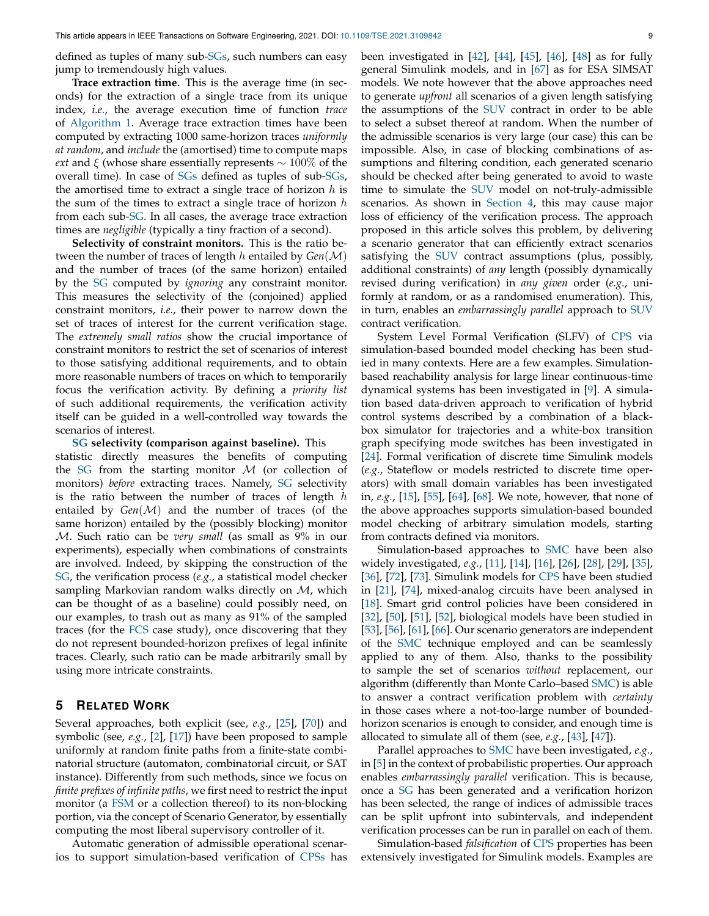defined as tuples of many sub[-SGs,](#page-7-5) such numbers can easy jump to tremendously high values.

**Trace extraction time.** This is the average time (in seconds) for the extraction of a single trace from its unique index, *i.e.*, the average execution time of function *trace* of [Algorithm 1.](#page-5-2) Average trace extraction times have been computed by extracting 1000 same-horizon traces *uniformly at random*, and *include* the (amortised) time to compute maps *ext* and  $\xi$  (whose share essentially represents  $\sim 100\%$  of the overall time). In case of [SGs](#page-7-5) defined as tuples of sub[-SGs,](#page-7-5) the amortised time to extract a single trace of horizon  $h$  is the sum of the times to extract a single trace of horizon  $h$ from each sub[-SG.](#page-7-5) In all cases, the average trace extraction times are *negligible* (typically a tiny fraction of a second).

**Selectivity of constraint monitors.** This is the ratio between the number of traces of length h entailed by *Gen*(M) and the number of traces (of the same horizon) entailed by the [SG](#page-7-5) computed by *ignoring* any constraint monitor. This measures the selectivity of the (conjoined) applied constraint monitors, *i.e.*, their power to narrow down the set of traces of interest for the current verification stage. The *extremely small ratios* show the crucial importance of constraint monitors to restrict the set of scenarios of interest to those satisfying additional requirements, and to obtain more reasonable numbers of traces on which to temporarily focus the verification activity. By defining a *priority list* of such additional requirements, the verification activity itself can be guided in a well-controlled way towards the scenarios of interest.

## **[SG](#page-7-5) selectivity (comparison against baseline).** This statistic directly measures the benefits of computing the [SG](#page-7-5) from the starting monitor  $M$  (or collection of monitors) *before* extracting traces. Namely, [SG](#page-7-5) selectivity is the ratio between the number of traces of length  $h$ entailed by  $Gen(\mathcal{M})$  and the number of traces (of the same horizon) entailed by the (possibly blocking) monitor M. Such ratio can be *very small* (as small as 9% in our experiments), especially when combinations of constraints are involved. Indeed, by skipping the construction of the [SG,](#page-7-5) the verification process (*e.g.*, a statistical model checker sampling Markovian random walks directly on  $M$ , which can be thought of as a baseline) could possibly need, on our examples, to trash out as many as 91% of the sampled traces (for the [FCS](#page-5-5) case study), once discovering that they do not represent bounded-horizon prefixes of legal infinite traces. Clearly, such ratio can be made arbitrarily small by using more intricate constraints.

## <span id="page-8-0"></span>**5 RELATED WORK**

Several approaches, both explicit (see, *e.g.*, [\[25\]](#page-10-12), [\[70\]](#page-11-7)) and symbolic (see, *e.g.*, [\[2\]](#page-10-13), [\[17\]](#page-10-3)) have been proposed to sample uniformly at random finite paths from a finite-state combinatorial structure (automaton, combinatorial circuit, or SAT instance). Differently from such methods, since we focus on *finite prefixes of infinite paths*, we first need to restrict the input monitor (a [FSM](#page-1-4) or a collection thereof) to its non-blocking portion, via the concept of Scenario Generator, by essentially computing the most liberal supervisory controller of it.

Automatic generation of admissible operational scenarios to support simulation-based verification of [CPSs](#page-0-2) has been investigated in [\[42\]](#page-11-10), [\[44\]](#page-11-16), [\[45\]](#page-11-17), [\[46\]](#page-11-18), [\[48\]](#page-11-11) as for fully general Simulink models, and in [\[67\]](#page-11-19) as for ESA SIMSAT models. We note however that the above approaches need to generate *upfront* all scenarios of a given length satisfying the assumptions of the [SUV](#page-1-0) contract in order to be able to select a subset thereof at random. When the number of the admissible scenarios is very large (our case) this can be impossible. Also, in case of blocking combinations of assumptions and filtering condition, each generated scenario should be checked after being generated to avoid to waste time to simulate the [SUV](#page-1-0) model on not-truly-admissible scenarios. As shown in [Section 4,](#page-5-0) this may cause major loss of efficiency of the verification process. The approach proposed in this article solves this problem, by delivering a scenario generator that can efficiently extract scenarios satisfying the [SUV](#page-1-0) contract assumptions (plus, possibly, additional constraints) of *any* length (possibly dynamically revised during verification) in *any given* order (*e.g.*, uniformly at random, or as a randomised enumeration). This, in turn, enables an *embarrassingly parallel* approach to [SUV](#page-1-0) contract verification.

System Level Formal Verification (SLFV) of [CPS](#page-0-2) via simulation-based bounded model checking has been studied in many contexts. Here are a few examples. Simulationbased reachability analysis for large linear continuous-time dynamical systems has been investigated in [\[9\]](#page-10-14). A simulation based data-driven approach to verification of hybrid control systems described by a combination of a blackbox simulator for trajectories and a white-box transition graph specifying mode switches has been investigated in [\[24\]](#page-10-15). Formal verification of discrete time Simulink models (*e.g.*, Stateflow or models restricted to discrete time operators) with small domain variables has been investigated in, *e.g.*, [\[15\]](#page-10-16), [\[55\]](#page-11-20), [\[64\]](#page-11-21), [\[68\]](#page-11-22). We note, however, that none of the above approaches supports simulation-based bounded model checking of arbitrary simulation models, starting from contracts defined via monitors.

Simulation-based approaches to [SMC](#page-1-1) have been also widely investigated, *e.g.*, [\[11\]](#page-10-17), [\[14\]](#page-10-18), [\[16\]](#page-10-19), [\[26\]](#page-10-20), [\[28\]](#page-10-21), [\[29\]](#page-10-22), [\[35\]](#page-11-23), [\[36\]](#page-11-24), [\[72\]](#page-11-25), [\[73\]](#page-11-26). Simulink models for [CPS](#page-0-2) have been studied in [\[21\]](#page-10-23), [\[74\]](#page-12-2), mixed-analog circuits have been analysed in [\[18\]](#page-10-11). Smart grid control policies have been considered in [\[32\]](#page-10-24), [\[50\]](#page-11-27), [\[51\]](#page-11-28), [\[52\]](#page-11-29), biological models have been studied in [\[53\]](#page-11-30), [\[56\]](#page-11-31), [\[61\]](#page-11-32), [\[66\]](#page-11-33). Our scenario generators are independent of the [SMC](#page-1-1) technique employed and can be seamlessly applied to any of them. Also, thanks to the possibility to sample the set of scenarios *without* replacement, our algorithm (differently than Monte Carlo–based [SMC\)](#page-1-1) is able to answer a contract verification problem with *certainty* in those cases where a not-too-large number of boundedhorizon scenarios is enough to consider, and enough time is allocated to simulate all of them (see, *e.g.*, [\[43\]](#page-11-0), [\[47\]](#page-11-1)).

Parallel approaches to [SMC](#page-1-1) have been investigated, *e.g.*, in [\[5\]](#page-10-25) in the context of probabilistic properties. Our approach enables *embarrassingly parallel* verification. This is because, once a [SG](#page-7-5) has been generated and a verification horizon has been selected, the range of indices of admissible traces can be split upfront into subintervals, and independent verification processes can be run in parallel on each of them.

Simulation-based *falsification* of [CPS](#page-0-2) properties has been extensively investigated for Simulink models. Examples are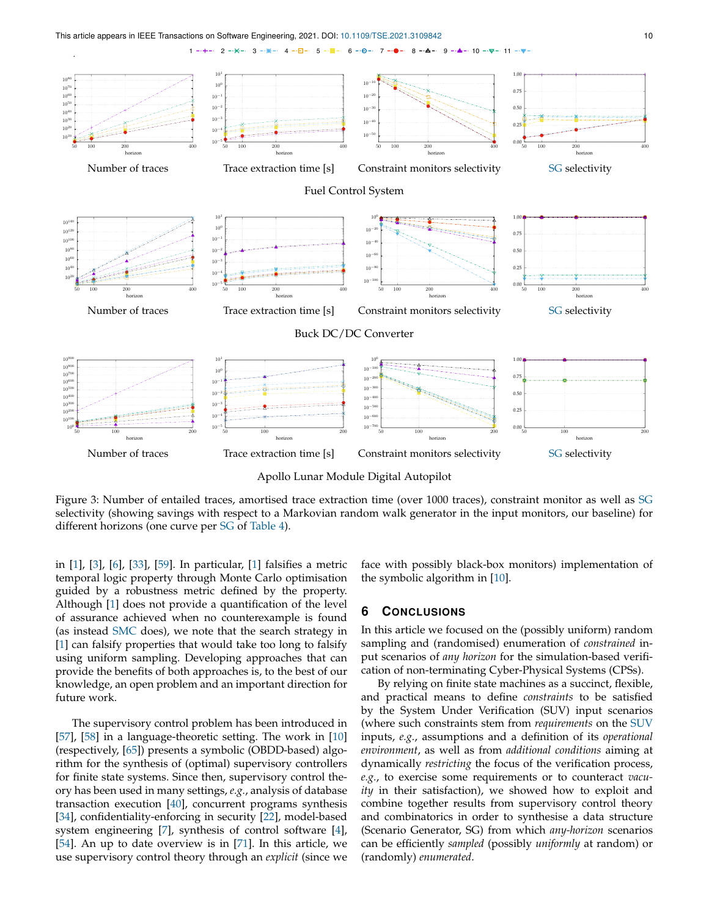<span id="page-9-1"></span> $\ddot{\phantom{0}}$ 



 $2 - x - 3 - x - 4 - \Box - 5 - \Xi - 6 - \Theta - 7 - 8 - \Delta - 9 - 4 - 10 - \nabla - 11 -$ 

Apollo Lunar Module Digital Autopilot

Figure 3: Number of entailed traces, amortised trace extraction time (over 1000 traces), constraint monitor as well as [SG](#page-7-5) selectivity (showing savings with respect to a Markovian random walk generator in the input monitors, our baseline) for different horizons (one curve per [SG](#page-7-5) of [Table 4\)](#page-7-4).

in [\[1\]](#page-10-5), [\[3\]](#page-10-26), [\[6\]](#page-10-27), [\[33\]](#page-10-28), [\[59\]](#page-11-34). In particular, [\[1\]](#page-10-5) falsifies a metric temporal logic property through Monte Carlo optimisation guided by a robustness metric defined by the property. Although [\[1\]](#page-10-5) does not provide a quantification of the level of assurance achieved when no counterexample is found (as instead [SMC](#page-1-1) does), we note that the search strategy in [\[1\]](#page-10-5) can falsify properties that would take too long to falsify using uniform sampling. Developing approaches that can provide the benefits of both approaches is, to the best of our knowledge, an open problem and an important direction for future work.

The supervisory control problem has been introduced in [\[57\]](#page-11-35), [\[58\]](#page-11-36) in a language-theoretic setting. The work in [\[10\]](#page-10-29) (respectively, [\[65\]](#page-11-37)) presents a symbolic (OBDD-based) algorithm for the synthesis of (optimal) supervisory controllers for finite state systems. Since then, supervisory control theory has been used in many settings, *e.g.*, analysis of database transaction execution [\[40\]](#page-11-38), concurrent programs synthesis [\[34\]](#page-11-39), confidentiality-enforcing in security [\[22\]](#page-10-30), model-based system engineering [\[7\]](#page-10-31), synthesis of control software [\[4\]](#page-10-32), [\[54\]](#page-11-12). An up to date overview is in [\[71\]](#page-11-6). In this article, we use supervisory control theory through an *explicit* (since we face with possibly black-box monitors) implementation of the symbolic algorithm in [\[10\]](#page-10-29).

## <span id="page-9-0"></span>**6 CONCLUSIONS**

In this article we focused on the (possibly uniform) random sampling and (randomised) enumeration of *constrained* input scenarios of *any horizon* for the simulation-based verification of non-terminating Cyber-Physical Systems (CPSs).

<span id="page-9-4"></span><span id="page-9-3"></span><span id="page-9-2"></span>By relying on finite state machines as a succinct, flexible, and practical means to define *constraints* to be satisfied by the System Under Verification (SUV) input scenarios (where such constraints stem from *requirements* on the [SUV](#page-9-2) inputs, *e.g.*, assumptions and a definition of its *operational environment*, as well as from *additional conditions* aiming at dynamically *restricting* the focus of the verification process, *e.g.*, to exercise some requirements or to counteract *vacuity* in their satisfaction), we showed how to exploit and combine together results from supervisory control theory and combinatorics in order to synthesise a data structure (Scenario Generator, SG) from which *any-horizon* scenarios can be efficiently *sampled* (possibly *uniformly* at random) or (randomly) *enumerated*.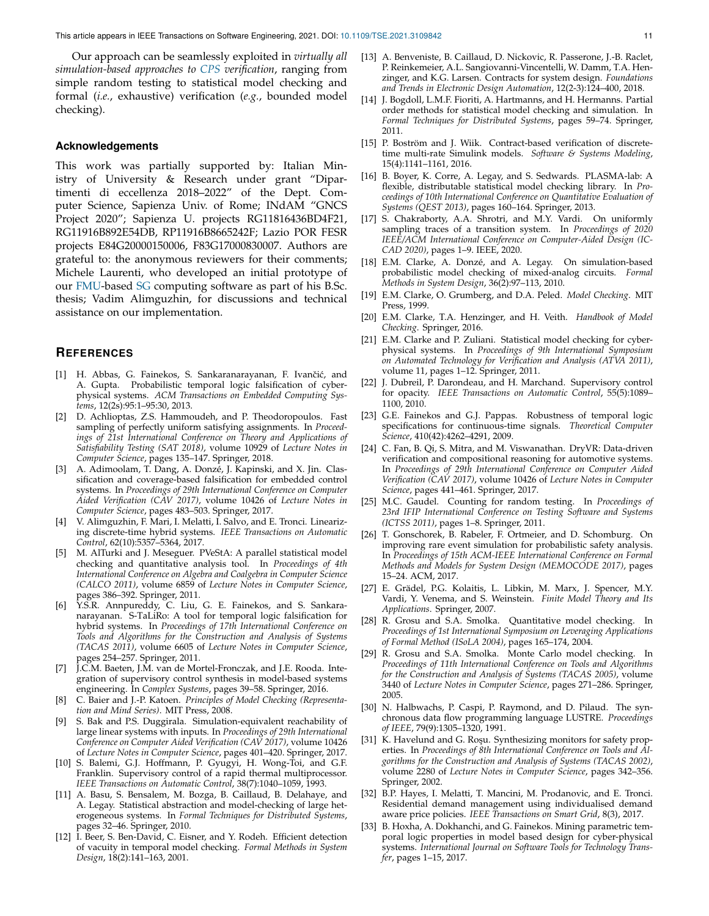Our approach can be seamlessly exploited in *virtually all simulation-based approaches to [CPS](#page-9-3) verification*, ranging from simple random testing to statistical model checking and formal (*i.e.*, exhaustive) verification (*e.g.*, bounded model checking).

#### **Acknowledgements**

This work was partially supported by: Italian Ministry of University & Research under grant "Dipartimenti di eccellenza 2018–2022" of the Dept. Computer Science, Sapienza Univ. of Rome; INdAM "GNCS Project 2020"; Sapienza U. projects RG11816436BD4F21, RG11916B892E54DB, RP11916B8665242F; Lazio POR FESR projects E84G20000150006, F83G17000830007. Authors are grateful to: the anonymous reviewers for their comments; Michele Laurenti, who developed an initial prototype of our [FMU-](#page-7-2)based [SG](#page-9-4) computing software as part of his B.Sc. thesis; Vadim Alimguzhin, for discussions and technical assistance on our implementation.

## **REFERENCES**

- <span id="page-10-5"></span>[1] H. Abbas, G. Fainekos, S. Sankaranarayanan, F. Ivančić, and A. Gupta. Probabilistic temporal logic falsification of cyberphysical systems. *ACM Transactions on Embedded Computing Systems*, 12(2s):95:1–95:30, 2013.
- <span id="page-10-13"></span>[2] D. Achlioptas, Z.S. Hammoudeh, and P. Theodoropoulos. Fast sampling of perfectly uniform satisfying assignments. In *Proceedings of 21st International Conference on Theory and Applications of Satisfiability Testing (SAT 2018)*, volume 10929 of *Lecture Notes in Computer Science*, pages 135–147. Springer, 2018.
- <span id="page-10-26"></span>[3] A. Adimoolam, T. Dang, A. Donzé, J. Kapinski, and X. Jin. Classification and coverage-based falsification for embedded control systems. In *Proceedings of 29th International Conference on Computer Aided Verification (CAV 2017)*, volume 10426 of *Lecture Notes in Computer Science*, pages 483–503. Springer, 2017.
- <span id="page-10-32"></span>[4] V. Alimguzhin, F. Mari, I. Melatti, I. Salvo, and E. Tronci. Linearizing discrete-time hybrid systems. *IEEE Transactions on Automatic Control*, 62(10):5357–5364, 2017.
- <span id="page-10-25"></span>[5] M. AlTurki and J. Meseguer. PVeStA: A parallel statistical model checking and quantitative analysis tool. In *Proceedings of 4th International Conference on Algebra and Coalgebra in Computer Science (CALCO 2011)*, volume 6859 of *Lecture Notes in Computer Science*, pages 386–392. Springer, 2011.
- <span id="page-10-27"></span>[6] Y.S.R. Annpureddy, C. Liu, G. E. Fainekos, and S. Sankaranarayanan. S-TaLiRo: A tool for temporal logic falsification for hybrid systems. In *Proceedings of 17th International Conference on Tools and Algorithms for the Construction and Analysis of Systems (TACAS 2011)*, volume 6605 of *Lecture Notes in Computer Science*, pages 254–257. Springer, 2011.
- <span id="page-10-31"></span>[7] J.C.M. Baeten, J.M. van de Mortel-Fronczak, and J.E. Rooda. Integration of supervisory control synthesis in model-based systems engineering. In *Complex Systems*, pages 39–58. Springer, 2016.
- <span id="page-10-0"></span>[8] C. Baier and J.-P. Katoen. *Principles of Model Checking (Representation and Mind Series)*. MIT Press, 2008.
- <span id="page-10-14"></span>[9] S. Bak and P.S. Duggirala. Simulation-equivalent reachability of large linear systems with inputs. In *Proceedings of 29th International Conference on Computer Aided Verification (CAV 2017)*, volume 10426 of *Lecture Notes in Computer Science*, pages 401–420. Springer, 2017.
- <span id="page-10-29"></span>[10] S. Balemi, G.J. Hoffmann, P. Gyugyi, H. Wong-Toi, and G.F. Franklin. Supervisory control of a rapid thermal multiprocessor. *IEEE Transactions on Automatic Control*, 38(7):1040–1059, 1993.
- <span id="page-10-17"></span>[11] A. Basu, S. Bensalem, M. Bozga, B. Caillaud, B. Delahaye, and A. Legay. Statistical abstraction and model-checking of large heterogeneous systems. In *Formal Techniques for Distributed Systems*, pages 32–46. Springer, 2010.
- <span id="page-10-2"></span>[12] I. Beer, S. Ben-David, C. Eisner, and Y. Rodeh. Efficient detection of vacuity in temporal model checking. *Formal Methods in System Design*, 18(2):141–163, 2001.
- <span id="page-10-4"></span>[13] A. Benveniste, B. Caillaud, D. Nickovic, R. Passerone, J.-B. Raclet, P. Reinkemeier, A.L. Sangiovanni-Vincentelli, W. Damm, T.A. Henzinger, and K.G. Larsen. Contracts for system design. *Foundations and Trends in Electronic Design Automation*, 12(2-3):124–400, 2018.
- <span id="page-10-18"></span>[14] J. Bogdoll, L.M.F. Fioriti, A. Hartmanns, and H. Hermanns. Partial order methods for statistical model checking and simulation. In *Formal Techniques for Distributed Systems*, pages 59–74. Springer, 2011.
- <span id="page-10-16"></span>[15] P. Boström and J. Wiik. Contract-based verification of discretetime multi-rate Simulink models. *Software & Systems Modeling*, 15(4):1141–1161, 2016.
- <span id="page-10-19"></span>[16] B. Boyer, K. Corre, A. Legay, and S. Sedwards. PLASMA-lab: A flexible, distributable statistical model checking library. In *Proceedings of 10th International Conference on Quantitative Evaluation of Systems (QEST 2013)*, pages 160–164. Springer, 2013.
- <span id="page-10-3"></span>[17] S. Chakraborty, A.A. Shrotri, and M.Y. Vardi. On uniformly sampling traces of a transition system. In *Proceedings of 2020 IEEE/ACM International Conference on Computer-Aided Design (IC-CAD 2020)*, pages 1–9. IEEE, 2020.
- <span id="page-10-11"></span>[18] E.M. Clarke, A. Donzé, and A. Legay. On simulation-based probabilistic model checking of mixed-analog circuits. *Formal Methods in System Design*, 36(2):97–113, 2010.
- <span id="page-10-1"></span>[19] E.M. Clarke, O. Grumberg, and D.A. Peled. *Model Checking*. MIT Press, 1999.
- <span id="page-10-9"></span>[20] E.M. Clarke, T.A. Henzinger, and H. Veith. *Handbook of Model Checking*. Springer, 2016.
- <span id="page-10-23"></span>[21] E.M. Clarke and P. Zuliani. Statistical model checking for cyberphysical systems. In *Proceedings of 9th International Symposium on Automated Technology for Verification and Analysis (ATVA 2011)*, volume 11, pages 1–12. Springer, 2011.
- <span id="page-10-30"></span>[22] J. Dubreil, P. Darondeau, and H. Marchand. Supervisory control for opacity. *IEEE Transactions on Automatic Control*, 55(5):1089– 1100, 2010.
- <span id="page-10-6"></span>[23] G.E. Fainekos and G.J. Pappas. Robustness of temporal logic specifications for continuous-time signals. *Theoretical Computer Science*, 410(42):4262–4291, 2009.
- <span id="page-10-15"></span>[24] C. Fan, B. Qi, S. Mitra, and M. Viswanathan. DryVR: Data-driven verification and compositional reasoning for automotive systems. In *Proceedings of 29th International Conference on Computer Aided Verification (CAV 2017)*, volume 10426 of *Lecture Notes in Computer Science*, pages 441–461. Springer, 2017.
- <span id="page-10-12"></span>[25] M.C. Gaudel. Counting for random testing. In *Proceedings of 23rd IFIP International Conference on Testing Software and Systems (ICTSS 2011)*, pages 1–8. Springer, 2011.
- <span id="page-10-20"></span>[26] T. Gonschorek, B. Rabeler, F. Ortmeier, and D. Schomburg. On improving rare event simulation for probabilistic safety analysis. In *Proceedings of 15th ACM-IEEE International Conference on Formal Methods and Models for System Design (MEMOCODE 2017)*, pages 15–24. ACM, 2017.
- <span id="page-10-10"></span>[27] E. Grädel, P.G. Kolaitis, L. Libkin, M. Marx, J. Spencer, M.Y. Vardi, Y. Venema, and S. Weinstein. *Finite Model Theory and Its Applications*. Springer, 2007.
- <span id="page-10-21"></span>[28] R. Grosu and S.A. Smolka. Quantitative model checking. In *Proceedings of 1st International Symposium on Leveraging Applications of Formal Method (ISoLA 2004)*, pages 165–174, 2004.
- <span id="page-10-22"></span>[29] R. Grosu and S.A. Smolka. Monte Carlo model checking. In *Proceedings of 11th International Conference on Tools and Algorithms for the Construction and Analysis of Systems (TACAS 2005)*, volume 3440 of *Lecture Notes in Computer Science*, pages 271–286. Springer, 2005.
- <span id="page-10-8"></span>[30] N. Halbwachs, P. Caspi, P. Raymond, and D. Pilaud. The synchronous data flow programming language LUSTRE. *Proceedings of IEEE*, 79(9):1305–1320, 1991.
- <span id="page-10-7"></span>[31] K. Havelund and G. Roşu. Synthesizing monitors for safety properties. In *Proceedings of 8th International Conference on Tools and Algorithms for the Construction and Analysis of Systems (TACAS 2002)*, volume 2280 of *Lecture Notes in Computer Science*, pages 342–356. Springer, 2002.
- <span id="page-10-24"></span>[32] B.P. Hayes, I. Melatti, T. Mancini, M. Prodanovic, and E. Tronci. Residential demand management using individualised demand aware price policies. *IEEE Transactions on Smart Grid*, 8(3), 2017.
- <span id="page-10-28"></span>[33] B. Hoxha, A. Dokhanchi, and G. Fainekos. Mining parametric temporal logic properties in model based design for cyber-physical systems. *International Journal on Software Tools for Technology Transfer*, pages 1–15, 2017.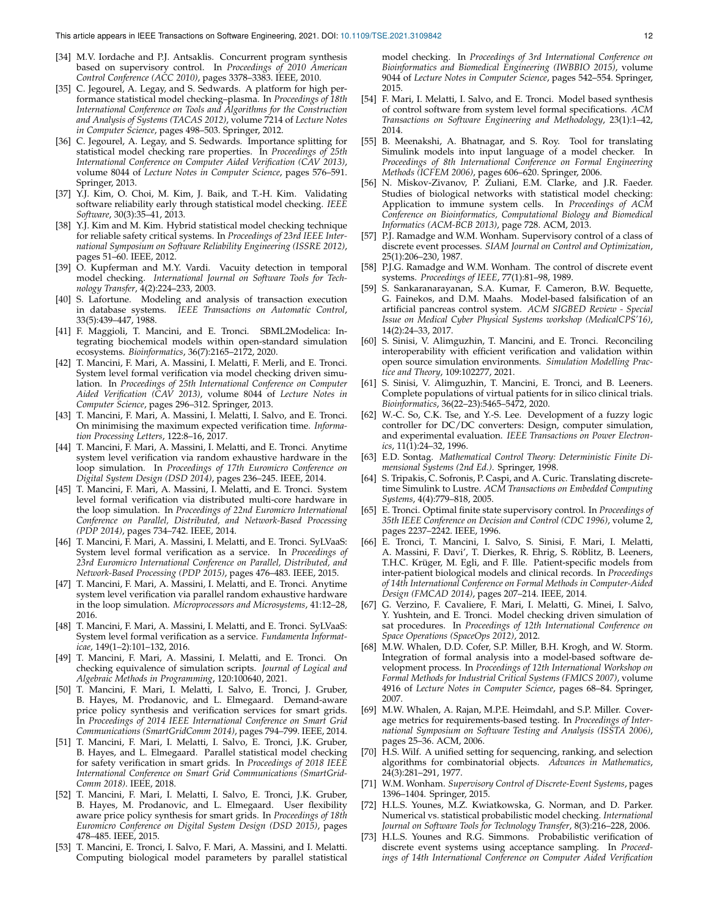- <span id="page-11-39"></span>[34] M.V. Iordache and P.J. Antsaklis. Concurrent program synthesis based on supervisory control. In *Proceedings of 2010 American Control Conference (ACC 2010)*, pages 3378–3383. IEEE, 2010.
- <span id="page-11-23"></span>[35] C. Jegourel, A. Legay, and S. Sedwards. A platform for high performance statistical model checking–plasma. In *Proceedings of 18th International Conference on Tools and Algorithms for the Construction and Analysis of Systems (TACAS 2012)*, volume 7214 of *Lecture Notes in Computer Science*, pages 498–503. Springer, 2012.
- <span id="page-11-24"></span>[36] C. Jegourel, A. Legay, and S. Sedwards. Importance splitting for statistical model checking rare properties. In *Proceedings of 25th International Conference on Computer Aided Verification (CAV 2013)*, volume 8044 of *Lecture Notes in Computer Science*, pages 576–591. Springer, 2013.
- <span id="page-11-8"></span>[37] Y.J. Kim, O. Choi, M. Kim, J. Baik, and T.-H. Kim. Validating software reliability early through statistical model checking. *IEEE Software*, 30(3):35–41, 2013.
- <span id="page-11-9"></span>[38] Y.J. Kim and M. Kim. Hybrid statistical model checking technique for reliable safety critical systems. In *Proceedings of 23rd IEEE International Symposium on Software Reliability Engineering (ISSRE 2012)*, pages 51–60. IEEE, 2012.
- <span id="page-11-2"></span>[39] O. Kupferman and M.Y. Vardi. Vacuity detection in temporal model checking. *International Journal on Software Tools for Technology Transfer*, 4(2):224–233, 2003.
- <span id="page-11-38"></span>[40] S. Lafortune. Modeling and analysis of transaction execution in database systems. *IEEE Transactions on Automatic Control*, 33(5):439–447, 1988.
- <span id="page-11-15"></span>[41] F. Maggioli, T. Mancini, and E. Tronci. SBML2Modelica: Integrating biochemical models within open-standard simulation ecosystems. *Bioinformatics*, 36(7):2165–2172, 2020.
- <span id="page-11-10"></span>[42] T. Mancini, F. Mari, A. Massini, I. Melatti, F. Merli, and E. Tronci. System level formal verification via model checking driven simulation. In *Proceedings of 25th International Conference on Computer Aided Verification (CAV 2013)*, volume 8044 of *Lecture Notes in Computer Science*, pages 296–312. Springer, 2013.
- <span id="page-11-0"></span>[43] T. Mancini, F. Mari, A. Massini, I. Melatti, I. Salvo, and E. Tronci. On minimising the maximum expected verification time. *Information Processing Letters*, 122:8–16, 2017.
- <span id="page-11-16"></span>[44] T. Mancini, F. Mari, A. Massini, I. Melatti, and E. Tronci. Anytime system level verification via random exhaustive hardware in the loop simulation. In *Proceedings of 17th Euromicro Conference on Digital System Design (DSD 2014)*, pages 236–245. IEEE, 2014.
- <span id="page-11-17"></span>[45] T. Mancini, F. Mari, A. Massini, I. Melatti, and E. Tronci. System level formal verification via distributed multi-core hardware in the loop simulation. In *Proceedings of 22nd Euromicro International Conference on Parallel, Distributed, and Network-Based Processing (PDP 2014)*, pages 734–742. IEEE, 2014.
- <span id="page-11-18"></span>[46] T. Mancini, F. Mari, A. Massini, I. Melatti, and E. Tronci. SyLVaaS: System level formal verification as a service. In *Proceedings of 23rd Euromicro International Conference on Parallel, Distributed, and Network-Based Processing (PDP 2015)*, pages 476–483. IEEE, 2015.
- <span id="page-11-1"></span>[47] T. Mancini, F. Mari, A. Massini, I. Melatti, and E. Tronci. Anytime system level verification via parallel random exhaustive hardware in the loop simulation. *Microprocessors and Microsystems*, 41:12–28, 2016.
- <span id="page-11-11"></span>[48] T. Mancini, F. Mari, A. Massini, I. Melatti, and E. Tronci. SyLVaaS: System level formal verification as a service. *Fundamenta Informaticae*, 149(1–2):101–132, 2016.
- <span id="page-11-5"></span>[49] T. Mancini, F. Mari, A. Massini, I. Melatti, and E. Tronci. On checking equivalence of simulation scripts. *Journal of Logical and Algebraic Methods in Programming*, 120:100640, 2021.
- <span id="page-11-27"></span>[50] T. Mancini, F. Mari, I. Melatti, I. Salvo, E. Tronci, J. Gruber, B. Hayes, M. Prodanovic, and L. Elmegaard. Demand-aware price policy synthesis and verification services for smart grids. In *Proceedings of 2014 IEEE International Conference on Smart Grid Communications (SmartGridComm 2014)*, pages 794–799. IEEE, 2014.
- <span id="page-11-28"></span>[51] T. Mancini, F. Mari, I. Melatti, I. Salvo, E. Tronci, J.K. Gruber, B. Hayes, and L. Elmegaard. Parallel statistical model checking for safety verification in smart grids. In *Proceedings of 2018 IEEE International Conference on Smart Grid Communications (SmartGrid-Comm 2018)*. IEEE, 2018.
- <span id="page-11-29"></span>[52] T. Mancini, F. Mari, I. Melatti, I. Salvo, E. Tronci, J.K. Gruber, B. Hayes, M. Prodanovic, and L. Elmegaard. User flexibility aware price policy synthesis for smart grids. In *Proceedings of 18th Euromicro Conference on Digital System Design (DSD 2015)*, pages 478–485. IEEE, 2015.
- <span id="page-11-30"></span>[53] T. Mancini, E. Tronci, I. Salvo, F. Mari, A. Massini, and I. Melatti. Computing biological model parameters by parallel statistical

model checking. In *Proceedings of 3rd International Conference on Bioinformatics and Biomedical Engineering (IWBBIO 2015)*, volume 9044 of *Lecture Notes in Computer Science*, pages 542–554. Springer, 2015.

- <span id="page-11-12"></span>[54] F. Mari, I. Melatti, I. Salvo, and E. Tronci. Model based synthesis of control software from system level formal specifications. *ACM Transactions on Software Engineering and Methodology*, 23(1):1–42, 2014.
- <span id="page-11-20"></span>[55] B. Meenakshi, A. Bhatnagar, and S. Roy. Tool for translating Simulink models into input language of a model checker. In *Proceedings of 8th International Conference on Formal Engineering Methods (ICFEM 2006)*, pages 606–620. Springer, 2006.
- <span id="page-11-31"></span>[56] N. Miskov-Zivanov, P. Zuliani, E.M. Clarke, and J.R. Faeder. Studies of biological networks with statistical model checking: Application to immune system cells. In *Proceedings of ACM Conference on Bioinformatics, Computational Biology and Biomedical Informatics (ACM-BCB 2013)*, page 728. ACM, 2013.
- <span id="page-11-35"></span>[57] P.J. Ramadge and W.M. Wonham. Supervisory control of a class of discrete event processes. *SIAM Journal on Control and Optimization*, 25(1):206–230, 1987.
- <span id="page-11-36"></span>[58] P.J.G. Ramadge and W.M. Wonham. The control of discrete event systems. *Proceedings of IEEE*, 77(1):81–98, 1989.
- <span id="page-11-34"></span>[59] S. Sankaranarayanan, S.A. Kumar, F. Cameron, B.W. Bequette, G. Fainekos, and D.M. Maahs. Model-based falsification of an artificial pancreas control system. *ACM SIGBED Review - Special Issue on Medical Cyber Physical Systems workshop (MedicalCPS'16)*, 14(2):24–33, 2017.
- <span id="page-11-14"></span>[60] S. Sinisi, V. Alimguzhin, T. Mancini, and E. Tronci. Reconciling interoperability with efficient verification and validation within open source simulation environments. *Simulation Modelling Practice and Theory*, 109:102277, 2021.
- <span id="page-11-32"></span>[61] S. Sinisi, V. Alimguzhin, T. Mancini, E. Tronci, and B. Leeners. Complete populations of virtual patients for in silico clinical trials. *Bioinformatics*, 36(22–23):5465–5472, 2020.
- <span id="page-11-13"></span>[62] W.-C. So, C.K. Tse, and Y.-S. Lee. Development of a fuzzy logic controller for DC/DC converters: Design, computer simulation, and experimental evaluation. *IEEE Transactions on Power Electronics*, 11(1):24–32, 1996.
- <span id="page-11-4"></span>[63] E.D. Sontag. *Mathematical Control Theory: Deterministic Finite Dimensional Systems (2nd Ed.)*. Springer, 1998.
- <span id="page-11-21"></span>[64] S. Tripakis, C. Sofronis, P. Caspi, and A. Curic. Translating discretetime Simulink to Lustre. *ACM Transactions on Embedded Computing Systems*, 4(4):779–818, 2005.
- <span id="page-11-37"></span>[65] E. Tronci. Optimal finite state supervisory control. In *Proceedings of 35th IEEE Conference on Decision and Control (CDC 1996)*, volume 2, pages 2237–2242. IEEE, 1996.
- <span id="page-11-33"></span>[66] E. Tronci, T. Mancini, I. Salvo, S. Sinisi, F. Mari, I. Melatti, A. Massini, F. Davi', T. Dierkes, R. Ehrig, S. Röblitz, B. Leeners, T.H.C. Krüger, M. Egli, and F. Ille. Patient-specific models from inter-patient biological models and clinical records. In *Proceedings of 14th International Conference on Formal Methods in Computer-Aided Design (FMCAD 2014)*, pages 207–214. IEEE, 2014.
- <span id="page-11-19"></span>[67] G. Verzino, F. Cavaliere, F. Mari, I. Melatti, G. Minei, I. Salvo, Y. Yushtein, and E. Tronci. Model checking driven simulation of sat procedures. In *Proceedings of 12th International Conference on Space Operations (SpaceOps 2012)*, 2012.
- <span id="page-11-22"></span>[68] M.W. Whalen, D.D. Cofer, S.P. Miller, B.H. Krogh, and W. Storm. Integration of formal analysis into a model-based software development process. In *Proceedings of 12th International Workshop on Formal Methods for Industrial Critical Systems (FMICS 2007)*, volume 4916 of *Lecture Notes in Computer Science*, pages 68–84. Springer, 2007.
- <span id="page-11-3"></span>[69] M.W. Whalen, A. Rajan, M.P.E. Heimdahl, and S.P. Miller. Coverage metrics for requirements-based testing. In *Proceedings of International Symposium on Software Testing and Analysis (ISSTA 2006)*, pages 25–36. ACM, 2006.
- <span id="page-11-7"></span>[70] H.S. Wilf. A unified setting for sequencing, ranking, and selection algorithms for combinatorial objects. *Advances in Mathematics*, 24(3):281–291, 1977.
- <span id="page-11-6"></span>[71] W.M. Wonham. *Supervisory Control of Discrete-Event Systems*, pages 1396–1404. Springer, 2015.
- <span id="page-11-25"></span>[72] H.L.S. Younes, M.Z. Kwiatkowska, G. Norman, and D. Parker. Numerical vs. statistical probabilistic model checking. *International Journal on Software Tools for Technology Transfer*, 8(3):216–228, 2006.
- <span id="page-11-26"></span>[73] H.L.S. Younes and R.G. Simmons. Probabilistic verification of discrete event systems using acceptance sampling. In *Proceedings of 14th International Conference on Computer Aided Verification*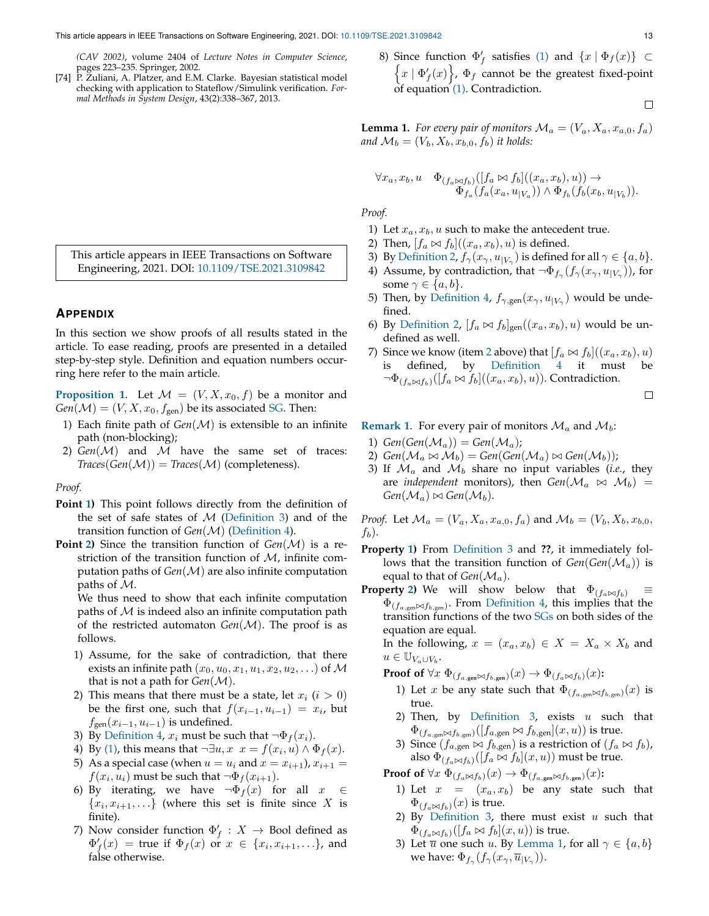*(CAV 2002)*, volume 2404 of *Lecture Notes in Computer Science*, pages 223–235. Springer, 2002.

- <span id="page-12-2"></span>[74] P. Zuliani, A. Platzer, and E.M. Clarke. Bayesian statistical model checking with application to Stateflow/Simulink verification. *Formal Methods in System Design*, 43(2):338–367, 2013.
- 8) Since function  $\Phi'_f$  satisfies [\(1\)](#page-4-4) and  $\{x \mid \Phi_f(x)\} \subset$  $\left\{x \mid \Phi'_{f}(x)\right\}$ ,  $\Phi_{f}$  cannot be the greatest fixed-point of equation [\(1\).](#page-4-4) Contradiction.

$$
\qquad \qquad \Box
$$

<span id="page-12-7"></span>**Lemma 1.** *For every pair of monitors*  $\mathcal{M}_a = (V_a, X_a, x_{a,0}, f_a)$ and  $\mathcal{M}_b = (V_b, X_b, x_{b,0}, f_b)$  *it holds:* 

$$
\forall x_a, x_b, u \quad \Phi_{(f_a \bowtie f_b)}([f_a \bowtie f_b]((x_a, x_b), u)) \rightarrow \Phi_{f_a}(f_a(x_a, u_{|V_a})) \land \Phi_{f_b}(f_b(x_b, u_{|V_b})).
$$

*Proof.*

- 1) Let  $x_a, x_b, u$  such to make the antecedent true.
- <span id="page-12-5"></span>2) Then,  $[f_a \bowtie f_b]((x_a, x_b), u)$  is defined.
- 3) By [Definition 2,](#page-3-1)  $f_{\gamma}(x_{\gamma}, u_{|V_{\gamma}})$  is defined for all  $\gamma \in \{a, b\}$ .
- 4) Assume, by contradiction, that  $\neg \Phi_{f_\gamma}(f_\gamma(x_\gamma, u_{|V_\gamma}))$ , for some  $\gamma \in \{a, b\}.$
- 5) Then, by [Definition 4,](#page-4-2)  $f_{\gamma,gen}(x_{\gamma},u_{|V_{\gamma}})$  would be undefined.
- 6) By [Definition 2,](#page-3-1)  $[f_a \otimes f_b]_{\text{gen}}((x_a, x_b), u)$  would be undefined as well.
- 7) Since we know (item [2](#page-12-5) above) that  $[f_a \bowtie f_b]((x_a, x_b), u)$ is defined, by [Definition 4](#page-4-2) it must be  $\neg \Phi_{(f_a \bowtie f_b)}([f_a \bowtie f_b]((x_a, x_b), u))$ . Contradiction.

$$
\Box
$$

**[Remark 1](#page-4-6).** For every pair of monitors  $\mathcal{M}_a$  and  $\mathcal{M}_b$ :

- <span id="page-12-6"></span>1)  $Gen(Gen(\mathcal{M}_a)) = Gen(\mathcal{M}_a);$
- <span id="page-12-0"></span>2)  $Gen(\mathcal{M}_a \bowtie \mathcal{M}_b) = Gen(Gen(\mathcal{M}_a) \bowtie Gen(\mathcal{M}_b));$
- <span id="page-12-1"></span>3) If  $\mathcal{M}_a$  and  $\mathcal{M}_b$  share no input variables (*i.e.*, they are *independent* monitors), then  $Gen(\mathcal{M}_a \bowtie \mathcal{M}_b)$  =  $Gen(\mathcal{M}_a) \bowtie Gen(\mathcal{M}_b).$

*Proof.* Let  $\mathcal{M}_a = (V_a, X_a, x_{a,0}, f_a)$  and  $\mathcal{M}_b = (V_b, X_b, x_{b,0}, f_a)$  $f_b$ ).

- **Property [1\)](#page-12-6)** From [Definition 3](#page-4-1) and **??**, it immediately follows that the transition function of  $Gen(Gen(M_a))$  is equal to that of  $Gen(\mathcal{M}_a)$ .
- **Property [2\)](#page-12-0)** We will show below that  $\Phi_{(f_a \bowtie f_b)}$  $\Phi_{(f_{a,\text{gen}}) \sim f_{b,\text{gen}})}$ . From [Definition 4,](#page-4-2) this implies that the transition functions of the two [SGs](#page-9-4) on both sides of the equation are equal.

In the following,  $x = (x_a, x_b) \in X = X_a \times X_b$  and  $u \in \mathbb{U}_{V_a \cup V_b}.$ 

- **Proof of**  $\forall x \Phi_{(f_a, \text{gen})}(x) \rightarrow \Phi_{(f_a \bowtie f_b)}(x)$ :
	- 1) Let x be any state such that  $\Phi_{(f_a, \text{gen})}(x)$  is true.
	- 2) Then, by [Definition 3,](#page-4-1) exists  $u$  such that  $\Phi_{(f_{a,\text{gen}}\bowtie f_{b,\text{gen}})}([f_{a,\text{gen}}\bowtie f_{b,\text{gen}}](x,u))$  is true.
	- 3) Since  $(f_{a,\text{gen}} \bowtie f_{b,\text{gen}})$  is a restriction of  $(f_a \bowtie f_b)$ , also  $\Phi$ <sub>(fa $\otimes$ f<sub>b</sub>)</sub>([f<sub>a</sub> $\otimes$  f<sub>b</sub>](x, u)) must be true.

**Proof of**  $\forall x \ \Phi_{(f_a \bowtie f_b)}(x) \rightarrow \Phi_{(f_a, \text{gen} \bowtie f_b, \text{gen})}(x)$ :

- 1) Let  $x = (x_a, x_b)$  be any state such that  $\Phi(f_a \Join f_b)(x)$  is true.
- 2) By [Definition 3,](#page-4-1) there must exist  $u$  such that  $\Phi_{(f_a \bowtie f_b)}([f_a \bowtie f_b](x, u))$  is true.
- 3) Let  $\overline{u}$  one such u. By [Lemma 1,](#page-12-7) for all  $\gamma \in \{a, b\}$ we have:  $\Phi_{f_{\gamma}}(f_{\gamma}(x_{\gamma}, \overline{u}_{|V_{\gamma}})).$

This article appears in IEEE Transactions on Software Engineering, 2021. DOI: [10.1109/TSE.2021.3109842](http://doi.org/10.1109/TSE.2021.3109842)

## **APPENDIX**

In this section we show proofs of all results stated in the article. To ease reading, proofs are presented in a detailed step-by-step style. Definition and equation numbers occurring here refer to the main article.

**[Proposition 1](#page-4-5).** Let  $M = (V, X, x_0, f)$  be a monitor and  $Gen(\mathcal{M}) = (V, X, x_0, f_{\text{gen}})$  be its associated [SG.](#page-9-4) Then:

- <span id="page-12-3"></span>1) Each finite path of  $Gen(\mathcal{M})$  is extensible to an infinite path (non-blocking);
- <span id="page-12-4"></span>2)  $Gen(\mathcal{M})$  and  $\mathcal{M}$  have the same set of traces:  $Trace(Gen(\mathcal{M})) = Trace(\mathcal{M})$  (completeness).

*Proof.*

- **Point [1\)](#page-12-3)** This point follows directly from the definition of the set of safe states of  $M$  [\(Definition 3\)](#page-4-1) and of the transition function of *Gen*(M) [\(Definition 4\)](#page-4-2).
- **Point [2\)](#page-12-4)** Since the transition function of  $Gen(M)$  is a restriction of the transition function of  $M$ , infinite computation paths of *Gen*(M) are also infinite computation paths of M.

We thus need to show that each infinite computation paths of  $M$  is indeed also an infinite computation path of the restricted automaton  $Gen(\mathcal{M})$ . The proof is as follows.

- 1) Assume, for the sake of contradiction, that there exists an infinite path  $(x_0, u_0, x_1, u_1, x_2, u_2, ...)$  of M that is not a path for  $Gen(\mathcal{M})$ .
- 2) This means that there must be a state, let  $x_i$   $(i > 0)$ be the first one, such that  $f(x_{i-1}, u_{i-1}) = x_i$ , but  $f_{gen}(x_{i-1}, u_{i-1})$  is undefined.
- 3) By [Definition 4,](#page-4-2)  $x_i$  must be such that  $\neg \Phi_f(x_i)$ .
- 4) By [\(1\),](#page-4-4) this means that  $\neg \exists u, x \ x = f(x_i, u) \land \Phi_f(x)$ .
- 5) As a special case (when  $u = u_i$  and  $x = x_{i+1}$ ),  $x_{i+1} =$  $f(x_i, u_i)$  must be such that  $\neg \Phi_f(x_{i+1})$ .
- 6) By iterating, we have  $\neg \Phi_f(x)$  for all  $x \in$  ${x_i, x_{i+1}, \ldots}$  (where this set is finite since X is finite).
- 7) Now consider function  $\Phi'_f: X \to \text{Bool}$  defined as  $\Phi'_{f}(x)$  = true if  $\Phi_{f}(x)$  or  $x \in \{x_i, x_{i+1}, \ldots\}$ , and false otherwise.